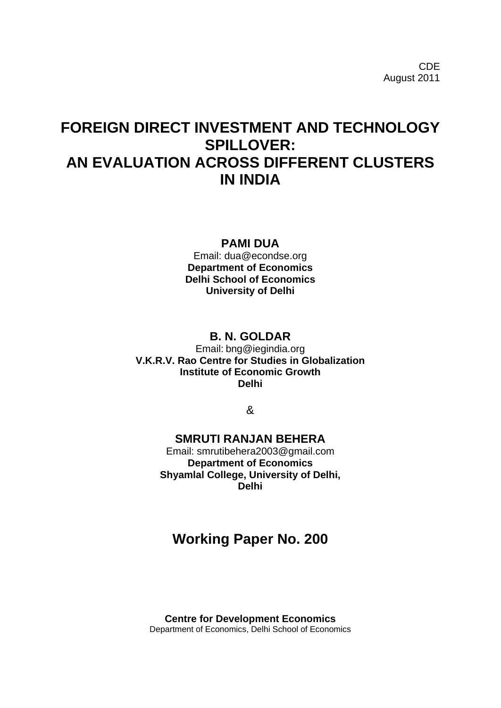CDE August 2011

# **FOREIGN DIRECT INVESTMENT AND TECHNOLOGY SPILLOVER: AN EVALUATION ACROSS DIFFERENT CLUSTERS IN INDIA**

### **PAMI DUA**

Email: dua@econdse.org **Department of Economics Delhi School of Economics University of Delhi**

## **B. N. GOLDAR**

Email: bng@iegindia.org **V.K.R.V. Rao Centre for Studies in Globalization Institute of Economic Growth Delhi**

&

### **SMRUTI RANJAN BEHERA**

Email: [smrutibehera2003@gmail.com](mailto:smrutibehera2003@gmail.com) **Department of Economics Shyamlal College, University of Delhi, Delhi**

# **Working Paper No. 200**

**Centre for Development Economics** Department of Economics, Delhi School of Economics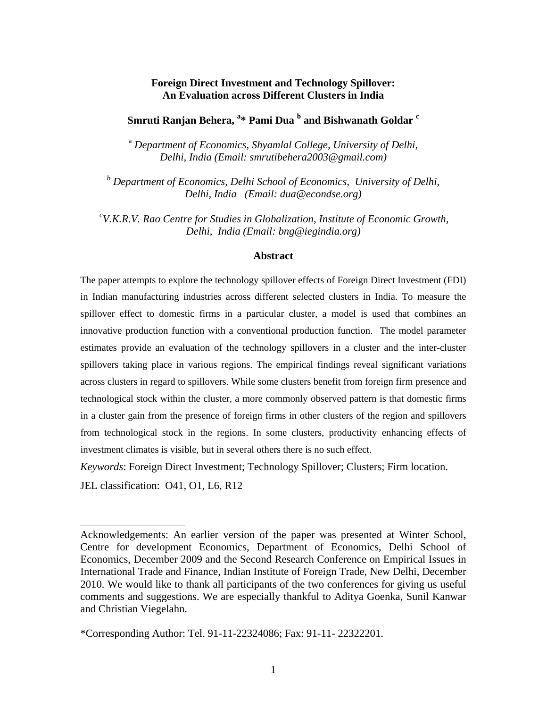### **Foreign Direct Investment and Technology Spillover: An Evaluation across Different Clusters in India**

# **Smruti Ranjan Behera, <sup>a</sup> \* Pami Dua <sup>b</sup> and Bishwanath Goldar <sup>c</sup>**

<sup>a</sup> *Department of Economics, Shyamlal College, University of Delhi, Delhi, India (Email: [smrutibehera2003@gmail.com\)](mailto:smrutibehera2003@gmail.com)*

*<sup>b</sup> Department of Economics, Delhi School of Economics, University of Delhi, Delhi, India (Email: [dua@econdse.org\)](mailto:dua@econdse.org)*

*c V.K.R.V. Rao Centre for Studies in Globalization, Institute of Economic Growth, Delhi, India (Email: bng@iegindia.org)*

### **Abstract**

The paper attempts to explore the technology spillover effects of Foreign Direct Investment (FDI) in Indian manufacturing industries across different selected clusters in India. To measure the spillover effect to domestic firms in a particular cluster, a model is used that combines an innovative production function with a conventional production function. The model parameter estimates provide an evaluation of the technology spillovers in a cluster and the inter-cluster spillovers taking place in various regions. The empirical findings reveal significant variations across clusters in regard to spillovers. While some clusters benefit from foreign firm presence and technological stock within the cluster, a more commonly observed pattern is that domestic firms in a cluster gain from the presence of foreign firms in other clusters of the region and spillovers from technological stock in the regions. In some clusters, productivity enhancing effects of investment climates is visible, but in several others there is no such effect.

*Keywords*: Foreign Direct Investment; Technology Spillover; Clusters; Firm location. JEL classification: O41, O1, L6, R12

Acknowledgements: An earlier version of the paper was presented at Winter School, Centre for development Economics, Department of Economics, Delhi School of Economics, December 2009 and the Second Research Conference on Empirical Issues in International Trade and Finance, Indian Institute of Foreign Trade, New Delhi, December 2010. We would like to thank all participants of the two conferences for giving us useful comments and suggestions. We are especially thankful to Aditya Goenka, Sunil Kanwar and Christian Viegelahn.

<sup>\*</sup>Corresponding Author: Tel. 91-11-22324086; Fax: 91-11- 22322201.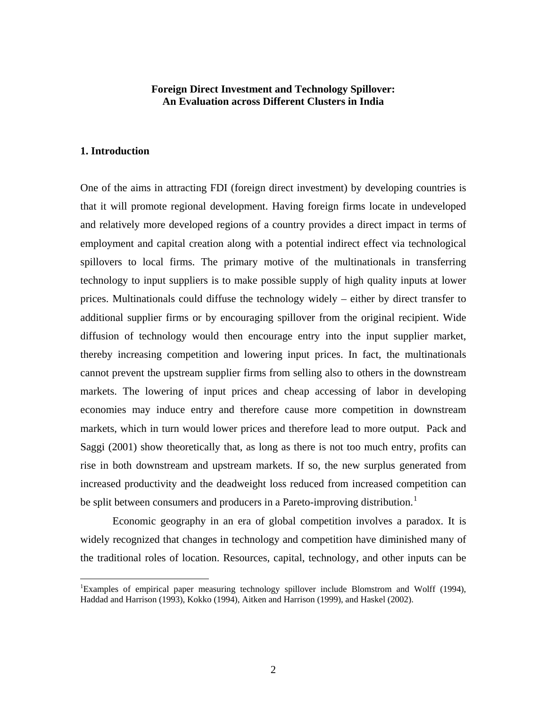### **Foreign Direct Investment and Technology Spillover: An Evaluation across Different Clusters in India**

#### **1. Introduction**

One of the aims in attracting FDI (foreign direct investment) by developing countries is that it will promote regional development. Having foreign firms locate in undeveloped and relatively more developed regions of a country provides a direct impact in terms of employment and capital creation along with a potential indirect effect via technological spillovers to local firms. The primary motive of the multinationals in transferring technology to input suppliers is to make possible supply of high quality inputs at lower prices. Multinationals could diffuse the technology widely – either by direct transfer to additional supplier firms or by encouraging spillover from the original recipient. Wide diffusion of technology would then encourage entry into the input supplier market, thereby increasing competition and lowering input prices. In fact, the multinationals cannot prevent the upstream supplier firms from selling also to others in the downstream markets. The lowering of input prices and cheap accessing of labor in developing economies may induce entry and therefore cause more competition in downstream markets, which in turn would lower prices and therefore lead to more output. Pack and Saggi (2001) show theoretically that, as long as there is not too much entry, profits can rise in both downstream and upstream markets. If so, the new surplus generated from increased productivity and the deadweight loss reduced from increased competition can be split between consumers and producers in a Pareto-improving distribution.<sup>[1](#page-2-0)</sup>

Economic geography in an era of global competition involves a paradox. It is widely recognized that changes in technology and competition have diminished many of the traditional roles of location. Resources, capital, technology, and other inputs can be

<span id="page-2-0"></span> $\frac{1}{1}$ Examples of empirical paper measuring technology spillover include Blomstrom and Wolff (1994), Haddad and Harrison (1993), Kokko (1994), Aitken and Harrison (1999), and Haskel (2002).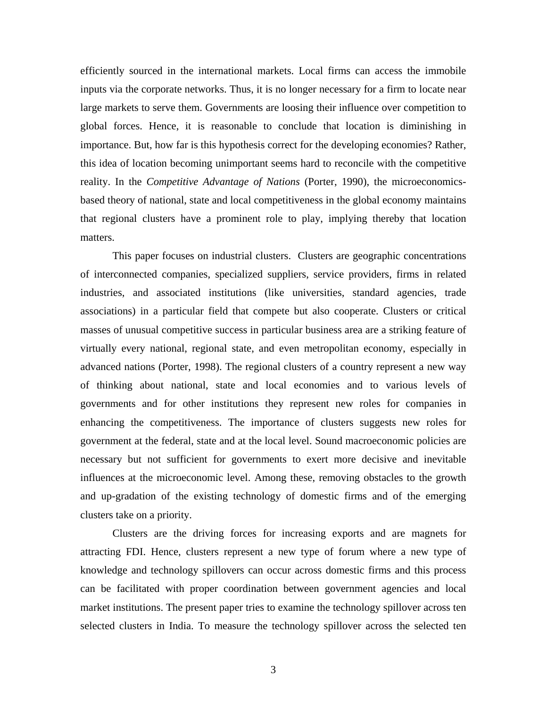efficiently sourced in the international markets. Local firms can access the immobile inputs via the corporate networks. Thus, it is no longer necessary for a firm to locate near large markets to serve them. Governments are loosing their influence over competition to global forces. Hence, it is reasonable to conclude that location is diminishing in importance. But, how far is this hypothesis correct for the developing economies? Rather, this idea of location becoming unimportant seems hard to reconcile with the competitive reality. In the *Competitive Advantage of Nations* (Porter, 1990), the microeconomicsbased theory of national, state and local competitiveness in the global economy maintains that regional clusters have a prominent role to play, implying thereby that location matters.

This paper focuses on industrial clusters. Clusters are geographic concentrations of interconnected companies, specialized suppliers, service providers, firms in related industries, and associated institutions (like universities, standard agencies, trade associations) in a particular field that compete but also cooperate. Clusters or critical masses of unusual competitive success in particular business area are a striking feature of virtually every national, regional state, and even metropolitan economy, especially in advanced nations (Porter, 1998). The regional clusters of a country represent a new way of thinking about national, state and local economies and to various levels of governments and for other institutions they represent new roles for companies in enhancing the competitiveness. The importance of clusters suggests new roles for government at the federal, state and at the local level. Sound macroeconomic policies are necessary but not sufficient for governments to exert more decisive and inevitable influences at the microeconomic level. Among these, removing obstacles to the growth and up-gradation of the existing technology of domestic firms and of the emerging clusters take on a priority.

Clusters are the driving forces for increasing exports and are magnets for attracting FDI. Hence, clusters represent a new type of forum where a new type of knowledge and technology spillovers can occur across domestic firms and this process can be facilitated with proper coordination between government agencies and local market institutions. The present paper tries to examine the technology spillover across ten selected clusters in India. To measure the technology spillover across the selected ten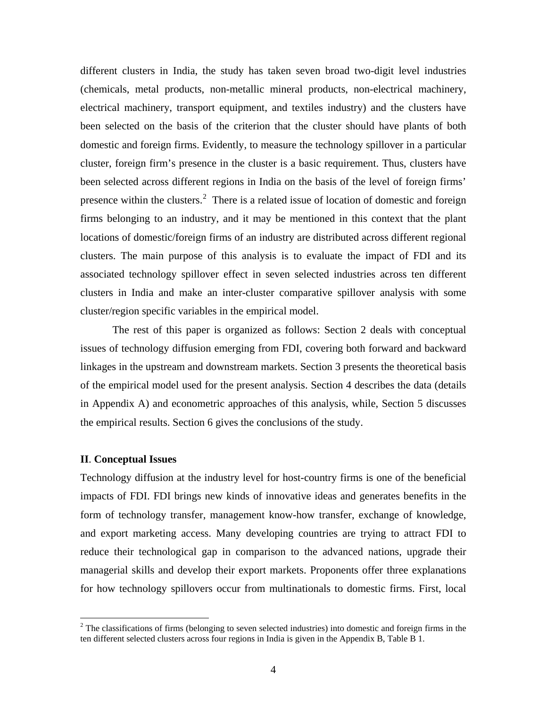different clusters in India, the study has taken seven broad two-digit level industries (chemicals, metal products, non-metallic mineral products, non-electrical machinery, electrical machinery, transport equipment, and textiles industry) and the clusters have been selected on the basis of the criterion that the cluster should have plants of both domestic and foreign firms. Evidently, to measure the technology spillover in a particular cluster, foreign firm's presence in the cluster is a basic requirement. Thus, clusters have been selected across different regions in India on the basis of the level of foreign firms' presence within the clusters.<sup>[2](#page-4-0)</sup> There is a related issue of location of domestic and foreign firms belonging to an industry, and it may be mentioned in this context that the plant locations of domestic/foreign firms of an industry are distributed across different regional clusters. The main purpose of this analysis is to evaluate the impact of FDI and its associated technology spillover effect in seven selected industries across ten different clusters in India and make an inter-cluster comparative spillover analysis with some cluster/region specific variables in the empirical model.

The rest of this paper is organized as follows: Section 2 deals with conceptual issues of technology diffusion emerging from FDI, covering both forward and backward linkages in the upstream and downstream markets. Section 3 presents the theoretical basis of the empirical model used for the present analysis. Section 4 describes the data (details in Appendix A) and econometric approaches of this analysis, while, Section 5 discusses the empirical results. Section 6 gives the conclusions of the study.

### **II**. **Conceptual Issues**

Technology diffusion at the industry level for host-country firms is one of the beneficial impacts of FDI. FDI brings new kinds of innovative ideas and generates benefits in the form of technology transfer, management know-how transfer, exchange of knowledge, and export marketing access. Many developing countries are trying to attract FDI to reduce their technological gap in comparison to the advanced nations, upgrade their managerial skills and develop their export markets. Proponents offer three explanations for how technology spillovers occur from multinationals to domestic firms. First, local

<span id="page-4-0"></span><sup>&</sup>lt;sup>2</sup> The classifications of firms (belonging to seven selected industries) into domestic and foreign firms in the ten different selected clusters across four regions in India is given in the Appendix B, Table B 1.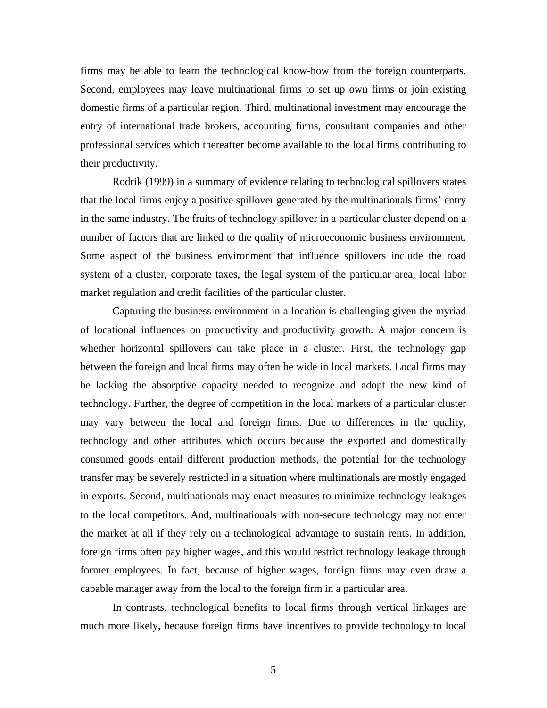firms may be able to learn the technological know-how from the foreign counterparts. Second, employees may leave multinational firms to set up own firms or join existing domestic firms of a particular region. Third, multinational investment may encourage the entry of international trade brokers, accounting firms, consultant companies and other professional services which thereafter become available to the local firms contributing to their productivity.

Rodrik (1999) in a summary of evidence relating to technological spillovers states that the local firms enjoy a positive spillover generated by the multinationals firms' entry in the same industry. The fruits of technology spillover in a particular cluster depend on a number of factors that are linked to the quality of microeconomic business environment. Some aspect of the business environment that influence spillovers include the road system of a cluster, corporate taxes, the legal system of the particular area, local labor market regulation and credit facilities of the particular cluster.

Capturing the business environment in a location is challenging given the myriad of locational influences on productivity and productivity growth. A major concern is whether horizontal spillovers can take place in a cluster. First, the technology gap between the foreign and local firms may often be wide in local markets. Local firms may be lacking the absorptive capacity needed to recognize and adopt the new kind of technology. Further, the degree of competition in the local markets of a particular cluster may vary between the local and foreign firms. Due to differences in the quality, technology and other attributes which occurs because the exported and domestically consumed goods entail different production methods, the potential for the technology transfer may be severely restricted in a situation where multinationals are mostly engaged in exports. Second, multinationals may enact measures to minimize technology leakages to the local competitors. And, multinationals with non-secure technology may not enter the market at all if they rely on a technological advantage to sustain rents. In addition, foreign firms often pay higher wages, and this would restrict technology leakage through former employees. In fact, because of higher wages, foreign firms may even draw a capable manager away from the local to the foreign firm in a particular area.

In contrasts, technological benefits to local firms through vertical linkages are much more likely, because foreign firms have incentives to provide technology to local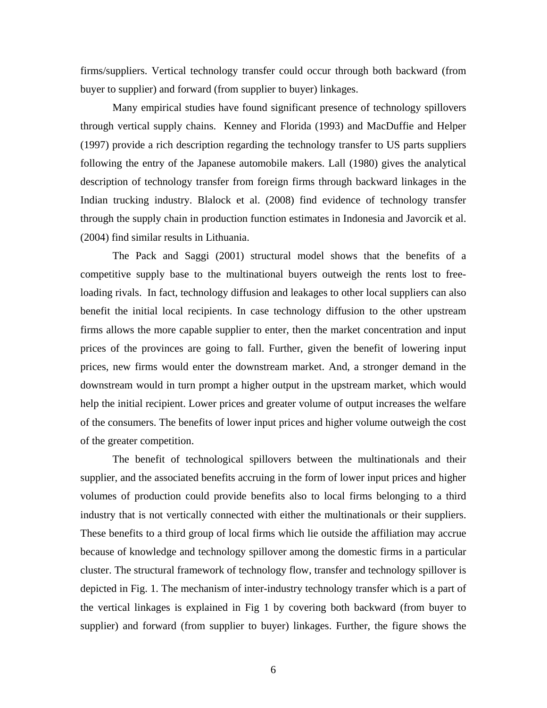firms/suppliers. Vertical technology transfer could occur through both backward (from buyer to supplier) and forward (from supplier to buyer) linkages.

Many empirical studies have found significant presence of technology spillovers through vertical supply chains. Kenney and Florida (1993) and MacDuffie and Helper (1997) provide a rich description regarding the technology transfer to US parts suppliers following the entry of the Japanese automobile makers. Lall (1980) gives the analytical description of technology transfer from foreign firms through backward linkages in the Indian trucking industry. Blalock et al. (2008) find evidence of technology transfer through the supply chain in production function estimates in Indonesia and Javorcik et al. (2004) find similar results in Lithuania.

The Pack and Saggi (2001) structural model shows that the benefits of a competitive supply base to the multinational buyers outweigh the rents lost to freeloading rivals. In fact, technology diffusion and leakages to other local suppliers can also benefit the initial local recipients. In case technology diffusion to the other upstream firms allows the more capable supplier to enter, then the market concentration and input prices of the provinces are going to fall. Further, given the benefit of lowering input prices, new firms would enter the downstream market. And, a stronger demand in the downstream would in turn prompt a higher output in the upstream market, which would help the initial recipient. Lower prices and greater volume of output increases the welfare of the consumers. The benefits of lower input prices and higher volume outweigh the cost of the greater competition.

The benefit of technological spillovers between the multinationals and their supplier, and the associated benefits accruing in the form of lower input prices and higher volumes of production could provide benefits also to local firms belonging to a third industry that is not vertically connected with either the multinationals or their suppliers. These benefits to a third group of local firms which lie outside the affiliation may accrue because of knowledge and technology spillover among the domestic firms in a particular cluster. The structural framework of technology flow, transfer and technology spillover is depicted in Fig. 1. The mechanism of inter-industry technology transfer which is a part of the vertical linkages is explained in Fig 1 by covering both backward (from buyer to supplier) and forward (from supplier to buyer) linkages. Further, the figure shows the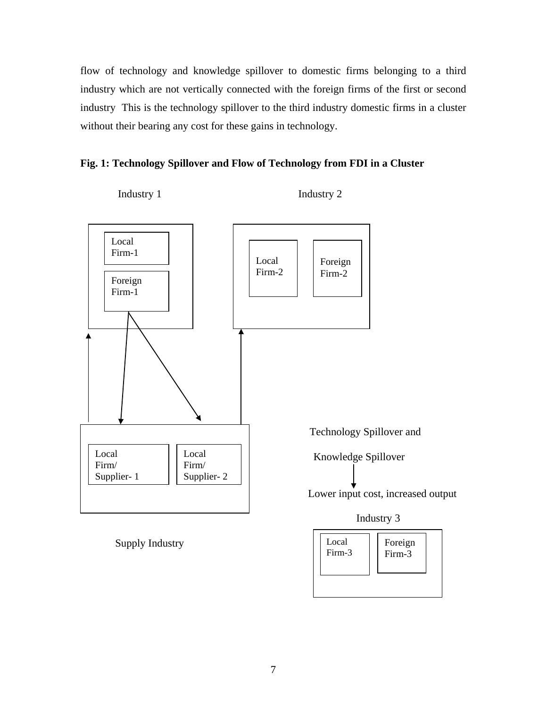flow of technology and knowledge spillover to domestic firms belonging to a third industry which are not vertically connected with the foreign firms of the first or second industry This is the technology spillover to the third industry domestic firms in a cluster without their bearing any cost for these gains in technology.





Supply Industry

Local Firm-3 Foreign Firm-3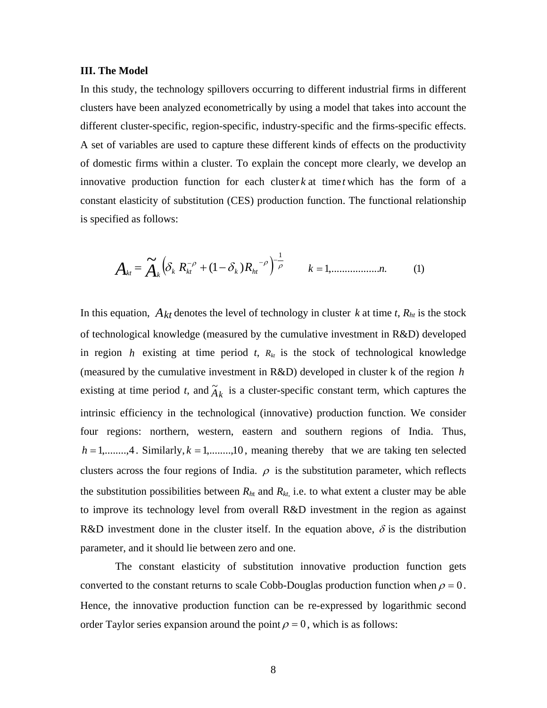#### **III. The Model**

In this study, the technology spillovers occurring to different industrial firms in different clusters have been analyzed econometrically by using a model that takes into account the different cluster-specific, region-specific, industry-specific and the firms-specific effects. A set of variables are used to capture these different kinds of effects on the productivity of domestic firms within a cluster. To explain the concept more clearly, we develop an innovative production function for each cluster  $k$  at time  $t$  which has the form of a constant elasticity of substitution (CES) production function. The functional relationship is specified as follows:

$$
A_{kt} = \widetilde{A}_k \left( \delta_k R_{kt}^{-\rho} + (1 - \delta_k) R_{kt}^{-\rho} \right)^{-\frac{1}{\rho}} \qquad k = 1, \dots, n. \tag{1}
$$

In this equation,  $A_{kt}$  denotes the level of technology in cluster *k* at time *t*,  $R_{ht}$  is the stock of technological knowledge (measured by the cumulative investment in R&D) developed in region  $h$  existing at time period  $t$ ,  $R_{kt}$  is the stock of technological knowledge (measured by the cumulative investment in R&D) developed in cluster k of the region *h* existing at time period *t*, and  $\tilde{A}_k$  is a cluster-specific constant term, which captures the intrinsic efficiency in the technological (innovative) production function. We consider four regions: northern, western, eastern and southern regions of India. Thus,  $h = 1, \ldots, 4$ . Similarly,  $k = 1, \ldots, 10$ , meaning thereby that we are taking ten selected clusters across the four regions of India.  $\rho$  is the substitution parameter, which reflects the substitution possibilities between  $R<sub>ht</sub>$  and  $R<sub>kt</sub>$ , i.e. to what extent a cluster may be able to improve its technology level from overall R&D investment in the region as against R&D investment done in the cluster itself. In the equation above,  $\delta$  is the distribution parameter, and it should lie between zero and one.

The constant elasticity of substitution innovative production function gets converted to the constant returns to scale Cobb-Douglas production function when  $\rho = 0$ . Hence, the innovative production function can be re-expressed by logarithmic second order Taylor series expansion around the point  $\rho = 0$ , which is as follows: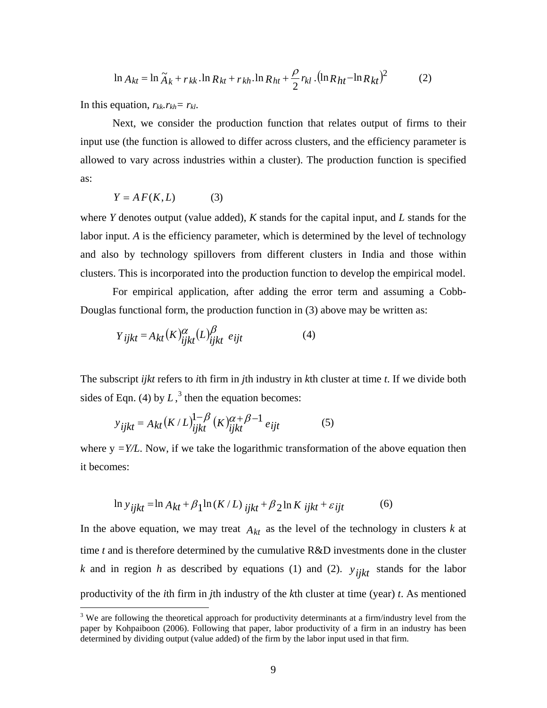$$
\ln A_{kt} = \ln \tilde{A}_k + r_{kk} \cdot \ln R_{kt} + r_{kh} \cdot \ln R_{ht} + \frac{\rho}{2} r_{kl} \cdot (\ln R_{ht} - \ln R_{kt})^2
$$
 (2)

In this equation,  $r_{kk}$ .  $r_{kh} = r_{kl}$ .

Next, we consider the production function that relates output of firms to their input use (the function is allowed to differ across clusters, and the efficiency parameter is allowed to vary across industries within a cluster). The production function is specified as:

$$
Y = AF(K, L) \tag{3}
$$

where *Y* denotes output (value added), *K* stands for the capital input, and *L* stands for the labor input. *A* is the efficiency parameter, which is determined by the level of technology and also by technology spillovers from different clusters in India and those within clusters. This is incorporated into the production function to develop the empirical model.

For empirical application, after adding the error term and assuming a Cobb-Douglas functional form, the production function in (3) above may be written as:

$$
Y_{ijkt} = A_{kt}(K)_{ijkt}^{\alpha}(L)_{ijkt}^{\beta} e_{ijt}
$$
 (4)

The subscript *ijkt* refers to *i*th firm in *j*th industry in *k*th cluster at time *t*. If we divide both sides of Eqn. (4) by  $L<sup>3</sup>$  $L<sup>3</sup>$  $L<sup>3</sup>$ , then the equation becomes:

$$
y_{\text{ijkt}} = A_{kt} (K/L)_{\text{ijkt}}^{1-\beta} (K)_{\text{ijkt}}^{\alpha+\beta-1} e_{\text{ijt}}
$$
 (5)

where  $y = Y/L$ . Now, if we take the logarithmic transformation of the above equation then it becomes:

$$
\ln y_{\text{ij}kt} = \ln A_{kt} + \beta_1 \ln (K/L)_{\text{ij}kt} + \beta_2 \ln K_{\text{ij}kt} + \varepsilon_{\text{ij}t}
$$
 (6)

In the above equation, we may treat  $A_{kt}$  as the level of the technology in clusters  $k$  at time *t* and is therefore determined by the cumulative R&D investments done in the cluster *k* and in region *h* as described by equations (1) and (2).  $y_{i j k t}$  stands for the labor productivity of the *i*th firm in *j*th industry of the *k*th cluster at time (year) *t*. As mentioned

<span id="page-9-0"></span><sup>&</sup>lt;sup>3</sup> We are following the theoretical approach for productivity determinants at a firm/industry level from the paper by Kohpaiboon (2006). Following that paper, labor productivity of a firm in an industry has been determined by dividing output (value added) of the firm by the labor input used in that firm.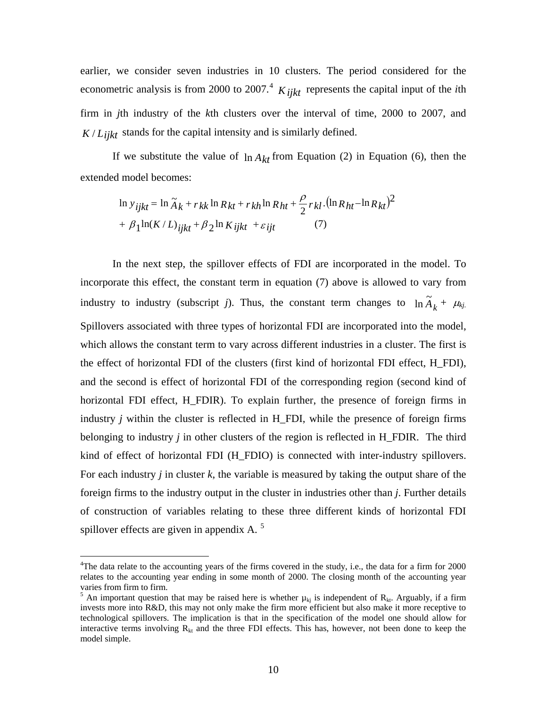earlier, we consider seven industries in 10 clusters. The period considered for the econometric analysis is from 2000 to 2007. [4](#page-10-0) *Kijkt* represents the capital input of the *i*th firm in *j*th industry of the *k*th clusters over the interval of time, 2000 to 2007, and  $K/L_{iikt}$  stands for the capital intensity and is similarly defined.

If we substitute the value of  $\ln A_{kt}$  from Equation (2) in Equation (6), then the extended model becomes:

$$
\ln y_{ijkt} = \ln \tilde{A}_k + r_{kk} \ln R_{kt} + r_{kh} \ln R_{ht} + \frac{\rho}{2} r_{kl} . (\ln R_{ht} - \ln R_{kt})^2
$$

$$
+ \beta_1 \ln(K/L)_{ijkt} + \beta_2 \ln K_{ijkt} + \varepsilon_{ijt} \tag{7}
$$

In the next step, the spillover effects of FDI are incorporated in the model. To incorporate this effect, the constant term in equation (7) above is allowed to vary from industry to industry (subscript *j*). Thus, the constant term changes to  $\ln \tilde{A}_k + \mu_{kj}$ . Spillovers associated with three types of horizontal FDI are incorporated into the model, which allows the constant term to vary across different industries in a cluster. The first is the effect of horizontal FDI of the clusters (first kind of horizontal FDI effect, H\_FDI), and the second is effect of horizontal FDI of the corresponding region (second kind of horizontal FDI effect, H\_FDIR). To explain further, the presence of foreign firms in industry *j* within the cluster is reflected in H\_FDI, while the presence of foreign firms belonging to industry *j* in other clusters of the region is reflected in H\_FDIR. The third kind of effect of horizontal FDI (H\_FDIO) is connected with inter-industry spillovers. For each industry *j* in cluster *k*, the variable is measured by taking the output share of the foreign firms to the industry output in the cluster in industries other than *j*. Further details of construction of variables relating to these three different kinds of horizontal FDI spillover effects are given in appendix A.<sup>[5](#page-10-1)</sup>

<span id="page-10-0"></span> $\frac{1}{4}$ <sup>4</sup>The data relate to the accounting years of the firms covered in the study, i.e., the data for a firm for 2000 relates to the accounting year ending in some month of 2000. The closing month of the accounting year varies from firm to firm.

<span id="page-10-1"></span><sup>&</sup>lt;sup>5</sup> An important question that may be raised here is whether  $\mu_{kj}$  is independent of  $R_{kt}$ . Arguably, if a firm invests more into R&D, this may not only make the firm more efficient but also make it more receptive to technological spillovers. The implication is that in the specification of the model one should allow for interactive terms involving  $R_{kt}$  and the three FDI effects. This has, however, not been done to keep the model simple.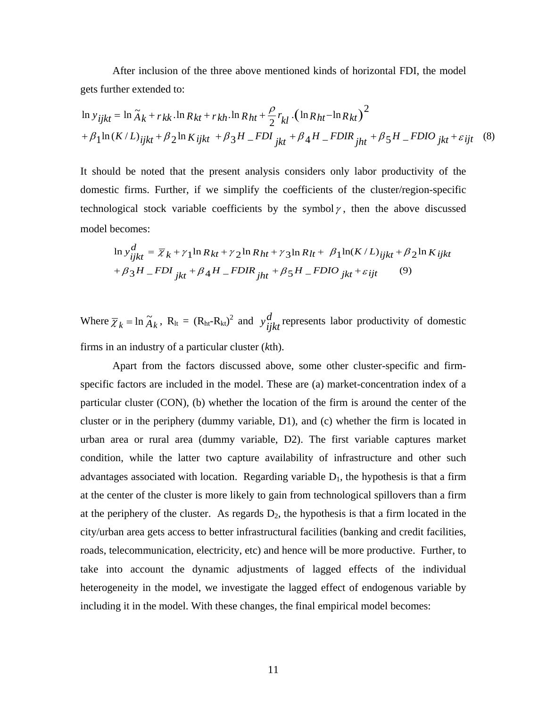After inclusion of the three above mentioned kinds of horizontal FDI, the model gets further extended to:

$$
\ln y_{ijkt} = \ln \tilde{A}_k + r_{kk} \cdot \ln R_{kt} + r_{kh} \cdot \ln R_{ht} + \frac{\rho}{2} r_{kl} \cdot (\ln R_{ht} - \ln R_{kt})^2
$$
  
+  $\beta_1 \ln (K/L)_{ijkl} + \beta_2 \ln K_{ijkl} + \beta_3 H_{Fl} - FDI_{jkt} + \beta_4 H_{Fl} - FDI_{jht} + \beta_5 H_{Fl} - FDI_{jkt} + \varepsilon_{ijt} \quad (8)$ 

It should be noted that the present analysis considers only labor productivity of the domestic firms. Further, if we simplify the coefficients of the cluster/region-specific technological stock variable coefficients by the symbol  $\gamma$ , then the above discussed model becomes:

$$
\ln y_{ijkt}^d = \overline{\chi}_k + \gamma_1 \ln R_{kt} + \gamma_2 \ln R_{ht} + \gamma_3 \ln R_{lt} + \beta_1 \ln(K/L)_{ijkt} + \beta_2 \ln K_{ijkt}
$$
  
+  $\beta_3 H$  =  $FDI_{jkt} + \beta_4 H$  =  $FDIR_{jht} + \beta_5 H$  =  $FDIO_{jkt} + \varepsilon_{ijt}$  (9)

Where  $\overline{\chi}_k = \ln \widetilde{A}_k$ ,  $R_{\text{lt}} = (R_{\text{ht}} - R_{\text{kt}})^2$  and  $y_{ijk}^d$  represents labor productivity of domestic firms in an industry of a particular cluster (*k*th).

Apart from the factors discussed above, some other cluster-specific and firmspecific factors are included in the model. These are (a) market-concentration index of a particular cluster (CON), (b) whether the location of the firm is around the center of the cluster or in the periphery (dummy variable, D1), and (c) whether the firm is located in urban area or rural area (dummy variable, D2). The first variable captures market condition, while the latter two capture availability of infrastructure and other such advantages associated with location. Regarding variable  $D<sub>1</sub>$ , the hypothesis is that a firm at the center of the cluster is more likely to gain from technological spillovers than a firm at the periphery of the cluster. As regards  $D_2$ , the hypothesis is that a firm located in the city/urban area gets access to better infrastructural facilities (banking and credit facilities, roads, telecommunication, electricity, etc) and hence will be more productive. Further, to take into account the dynamic adjustments of lagged effects of the individual heterogeneity in the model, we investigate the lagged effect of endogenous variable by including it in the model. With these changes, the final empirical model becomes: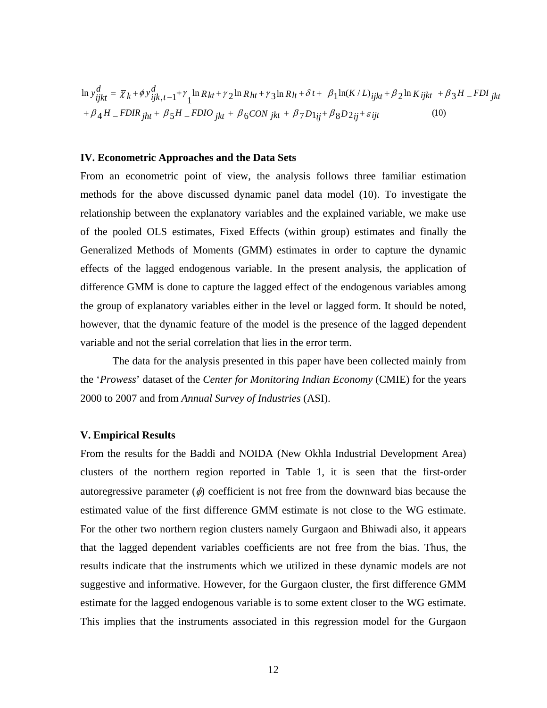$$
\ln y_{ijkt}^d = \overline{\chi}_k + \phi y_{ijk,t-1}^d + \gamma_1 \ln R_{kt} + \gamma_2 \ln R_{ht} + \gamma_3 \ln R_{lt} + \delta t + \beta_1 \ln(K/L)_{ijkt} + \beta_2 \ln K_{ijkt} + \beta_3 H \quad \text{FDI}_{jkt} + \beta_4 H \quad \text{FDIR}_{jht} + \beta_5 H \quad \text{FDIO}_{jkt} + \beta_6 \text{CON}_{jkt} + \beta_7 D1_{ij} + \beta_8 D2_{ij} + \varepsilon_{ijt} \tag{10}
$$

#### **IV. Econometric Approaches and the Data Sets**

From an econometric point of view, the analysis follows three familiar estimation methods for the above discussed dynamic panel data model (10). To investigate the relationship between the explanatory variables and the explained variable, we make use of the pooled OLS estimates, Fixed Effects (within group) estimates and finally the Generalized Methods of Moments (GMM) estimates in order to capture the dynamic effects of the lagged endogenous variable. In the present analysis, the application of difference GMM is done to capture the lagged effect of the endogenous variables among the group of explanatory variables either in the level or lagged form. It should be noted, however, that the dynamic feature of the model is the presence of the lagged dependent variable and not the serial correlation that lies in the error term.

The data for the analysis presented in this paper have been collected mainly from the '*Prowess*' dataset of the *Center for Monitoring Indian Economy* (CMIE) for the years 2000 to 2007 and from *Annual Survey of Industries* (ASI).

#### **V. Empirical Results**

From the results for the Baddi and NOIDA (New Okhla Industrial Development Area) clusters of the northern region reported in Table 1, it is seen that the first-order autoregressive parameter  $(\phi)$  coefficient is not free from the downward bias because the estimated value of the first difference GMM estimate is not close to the WG estimate. For the other two northern region clusters namely Gurgaon and Bhiwadi also, it appears that the lagged dependent variables coefficients are not free from the bias. Thus, the results indicate that the instruments which we utilized in these dynamic models are not suggestive and informative. However, for the Gurgaon cluster, the first difference GMM estimate for the lagged endogenous variable is to some extent closer to the WG estimate. This implies that the instruments associated in this regression model for the Gurgaon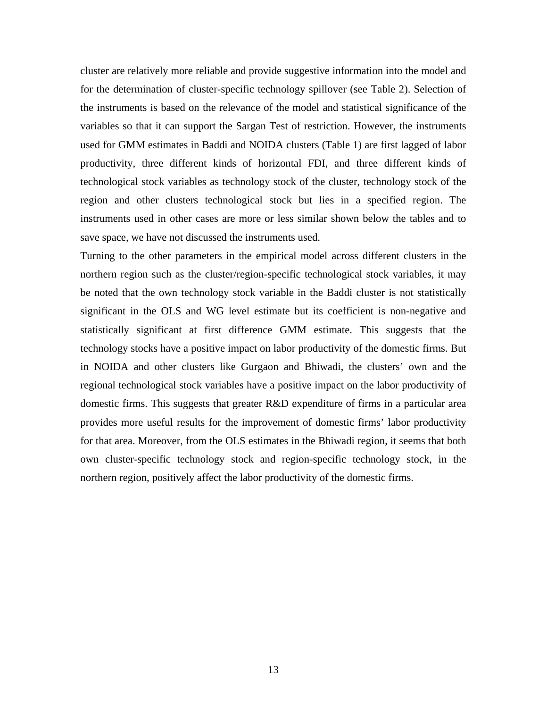cluster are relatively more reliable and provide suggestive information into the model and for the determination of cluster-specific technology spillover (see Table 2). Selection of the instruments is based on the relevance of the model and statistical significance of the variables so that it can support the Sargan Test of restriction. However, the instruments used for GMM estimates in Baddi and NOIDA clusters (Table 1) are first lagged of labor productivity, three different kinds of horizontal FDI, and three different kinds of technological stock variables as technology stock of the cluster, technology stock of the region and other clusters technological stock but lies in a specified region. The instruments used in other cases are more or less similar shown below the tables and to save space, we have not discussed the instruments used.

Turning to the other parameters in the empirical model across different clusters in the northern region such as the cluster/region-specific technological stock variables, it may be noted that the own technology stock variable in the Baddi cluster is not statistically significant in the OLS and WG level estimate but its coefficient is non-negative and statistically significant at first difference GMM estimate. This suggests that the technology stocks have a positive impact on labor productivity of the domestic firms. But in NOIDA and other clusters like Gurgaon and Bhiwadi, the clusters' own and the regional technological stock variables have a positive impact on the labor productivity of domestic firms. This suggests that greater R&D expenditure of firms in a particular area provides more useful results for the improvement of domestic firms' labor productivity for that area. Moreover, from the OLS estimates in the Bhiwadi region, it seems that both own cluster-specific technology stock and region-specific technology stock, in the northern region, positively affect the labor productivity of the domestic firms.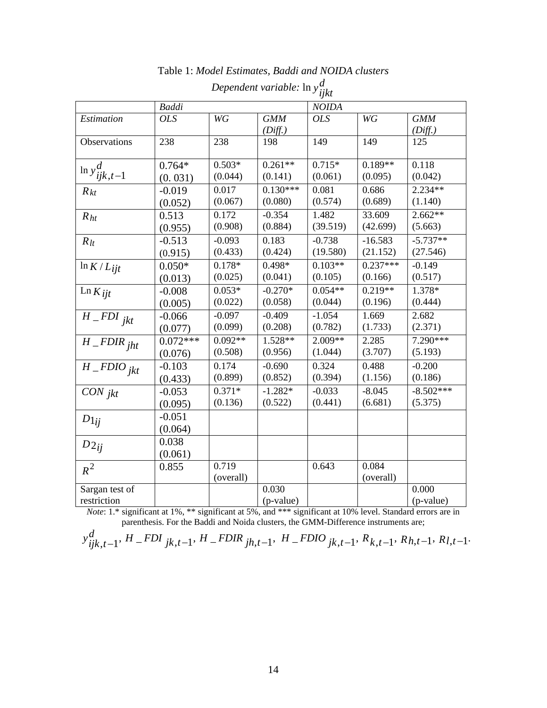|                           | <b>Baddi</b> |               |            | <b>NOIDA</b> |            |             |
|---------------------------|--------------|---------------|------------|--------------|------------|-------------|
| Estimation                | <b>OLS</b>   | $\mathbb{W}G$ | <b>GMM</b> | <b>OLS</b>   | WG         | <b>GMM</b>  |
|                           |              |               | (Diff.)    |              |            | (Diff.)     |
| Observations              | 238          | 238           | 198        | 149          | 149        | 125         |
|                           |              |               |            |              |            |             |
| $\ln y^d_{ijk,t-1}$       | $0.764*$     | $0.503*$      | $0.261**$  | $0.715*$     | $0.189**$  | 0.118       |
|                           | (0.031)      | (0.044)       | (0.141)    | (0.061)      | (0.095)    | (0.042)     |
| $R_{kt}$                  | $-0.019$     | 0.017         | $0.130***$ | 0.081        | 0.686      | $2.234**$   |
|                           | (0.052)      | (0.067)       | (0.080)    | (0.574)      | (0.689)    | (1.140)     |
| R <sub>ht</sub>           | 0.513        | 0.172         | $-0.354$   | 1.482        | 33.609     | $2.662**$   |
|                           | (0.955)      | (0.908)       | (0.884)    | (39.519)     | (42.699)   | (5.663)     |
| $R_{lt}$                  | $-0.513$     | $-0.093$      | 0.183      | $-0.738$     | $-16.583$  | $-5.737**$  |
|                           | (0.915)      | (0.433)       | (0.424)    | (19.580)     | (21.152)   | (27.546)    |
| $\ln K/L_{ijt}$           | $0.050*$     | $0.178*$      | $0.498*$   | $0.103**$    | $0.237***$ | $-0.149$    |
|                           | (0.013)      | (0.025)       | (0.041)    | (0.105)      | (0.166)    | (0.517)     |
| $\text{Ln } K$ ijt        | $-0.008$     | $0.053*$      | $-0.270*$  | $0.054**$    | $0.219**$  | 1.378*      |
|                           | (0.005)      | (0.022)       | (0.058)    | (0.044)      | (0.196)    | (0.444)     |
| $\overline{H\_FDI}_{jkt}$ | $-0.066$     | $-0.097$      | $-0.409$   | $-1.054$     | 1.669      | 2.682       |
|                           | (0.077)      | (0.099)       | (0.208)    | (0.782)      | (1.733)    | (2.371)     |
| $H$ FDIR jht              | $0.072***$   | $0.092**$     | $1.528**$  | $2.009**$    | 2.285      | 7.290***    |
|                           | (0.076)      | (0.508)       | (0.956)    | (1.044)      | (3.707)    | (5.193)     |
| $\overline{H}$ _FDIO jkt  | $-0.103$     | 0.174         | $-0.690$   | 0.324        | 0.488      | $-0.200$    |
|                           | (0.433)      | (0.899)       | (0.852)    | (0.394)      | (1.156)    | (0.186)     |
| CON <sub>jkt</sub>        | $-0.053$     | $0.371*$      | $-1.282*$  | $-0.033$     | $-8.045$   | $-8.502***$ |
|                           | (0.095)      | (0.136)       | (0.522)    | (0.441)      | (6.681)    | (5.375)     |
| $D_{1ij}$                 | $-0.051$     |               |            |              |            |             |
|                           | (0.064)      |               |            |              |            |             |
| $D_{2ij}$                 | 0.038        |               |            |              |            |             |
|                           | (0.061)      |               |            |              |            |             |
| $R^2$                     | 0.855        | 0.719         |            | 0.643        | 0.084      |             |
|                           |              | (overall)     |            |              | (overall)  |             |
| Sargan test of            |              |               | 0.030      |              |            | 0.000       |
| restriction               |              |               | (p-value)  |              |            | $(p-value)$ |

Table 1: *Model Estimates, Baddi and NOIDA clusters*

*Dependent variable:* ln *yd ijkt*

*Note*: 1.\* significant at 1%, \*\* significant at 5%, and \*\*\* significant at 10% level. Standard errors are in parenthesis. For the Baddi and Noida clusters, the GMM-Difference instruments are;

$$
y_{ijk,t-1}^d
$$
,  $H$  = *FDI*  $_{jk,t-1}$ ,  $H$  = *FDIR*  $_{jh,t-1}$ ,  $H$  = *FDIO*  $_{jk,t-1}$ ,  $R_{k,t-1}$ ,  $R_{h,t-1}$ ,  $R_{l,t-1}$ .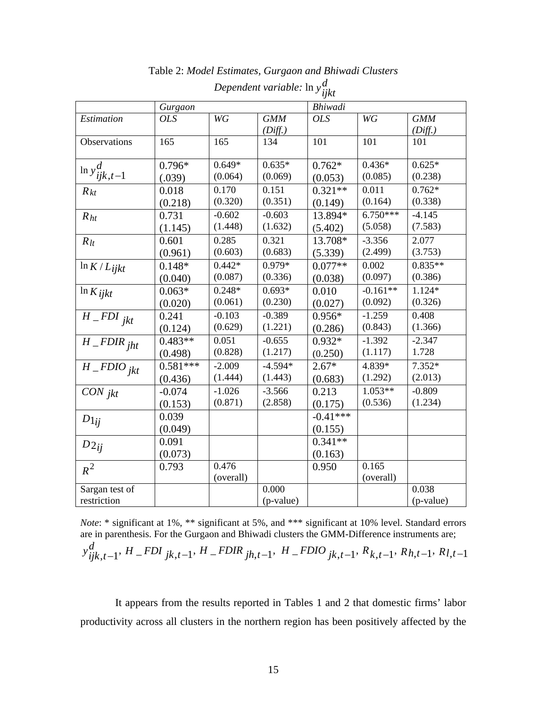|                                     | Gurgaon    |               |            | Bhiwadi    |            |            |
|-------------------------------------|------------|---------------|------------|------------|------------|------------|
| Estimation                          | <b>OLS</b> | $\mathbb{W}G$ | <b>GMM</b> | <b>OLS</b> | WG         | <b>GMM</b> |
|                                     |            |               | (Diff.)    |            |            | (Diff.)    |
| Observations                        | 165        | 165           | 134        | 101        | 101        | 101        |
|                                     |            |               |            |            |            |            |
|                                     | $0.796*$   | $0.649*$      | $0.635*$   | $0.762*$   | $0.436*$   | $0.625*$   |
| $\ln y_{ijk,t-1}^d$                 | (.039)     | (0.064)       | (0.069)    | (0.053)    | (0.085)    | (0.238)    |
| $R_{kt}$                            | 0.018      | 0.170         | 0.151      | $0.321**$  | 0.011      | $0.762*$   |
|                                     | (0.218)    | (0.320)       | (0.351)    | (0.149)    | (0.164)    | (0.338)    |
| R <sub>ht</sub>                     | 0.731      | $-0.602$      | $-0.603$   | 13.894*    | $6.750***$ | $-4.145$   |
|                                     | (1.145)    | (1.448)       | (1.632)    | (5.402)    | (5.058)    | (7.583)    |
| $R_{lt}$                            | 0.601      | 0.285         | 0.321      | 13.708*    | $-3.356$   | 2.077      |
|                                     | (0.961)    | (0.603)       | (0.683)    | (5.339)    | (2.499)    | (3.753)    |
| $\ln K/L$ ijkt                      | $0.148*$   | $0.442*$      | 0.979*     | $0.077**$  | 0.002      | $0.835**$  |
|                                     | (0.040)    | (0.087)       | (0.336)    | (0.038)    | (0.097)    | (0.386)    |
| $\ln K$ ijkt                        | $0.063*$   | $0.248*$      | $0.693*$   | 0.010      | $-0.161**$ | $1.124*$   |
|                                     | (0.020)    | (0.061)       | (0.230)    | (0.027)    | (0.092)    | (0.326)    |
| $\overline{H}$ _FDI jkt             | 0.241      | $-0.103$      | $-0.389$   | $0.956*$   | $-1.259$   | 0.408      |
|                                     | (0.124)    | (0.629)       | (1.221)    | (0.286)    | (0.843)    | (1.366)    |
| $\overline{H}$ FDIR jht             | $0.483**$  | 0.051         | $-0.655$   | $0.932*$   | $-1.392$   | $-2.347$   |
|                                     | (0.498)    | (0.828)       | (1.217)    | (0.250)    | (1.117)    | 1.728      |
| $\overline{H}$ <sub>-FDIO jkt</sub> | $0.581***$ | $-2.009$      | $-4.594*$  | $2.67*$    | 4.839*     | $7.352*$   |
|                                     | (0.436)    | (1.444)       | (1.443)    | (0.683)    | (1.292)    | (2.013)    |
| $CON$ jkt                           | $-0.074$   | $-1.026$      | $-3.566$   | 0.213      | $1.053**$  | $-0.809$   |
|                                     | (0.153)    | (0.871)       | (2.858)    | (0.175)    | (0.536)    | (1.234)    |
| $D_{1ij}$                           | 0.039      |               |            | $-0.41***$ |            |            |
|                                     | (0.049)    |               |            | (0.155)    |            |            |
| $D_{2ij}$                           | 0.091      |               |            | $0.341**$  |            |            |
|                                     | (0.073)    |               |            | (0.163)    |            |            |
| $R^2$                               | 0.793      | 0.476         |            | 0.950      | 0.165      |            |
|                                     |            | (overall)     |            |            | (overall)  |            |
| Sargan test of                      |            |               | 0.000      |            |            | 0.038      |
| restriction                         |            |               | (p-value)  |            |            | (p-value)  |

Table 2: *Model Estimates, Gurgaon and Bhiwadi Clusters Dependent variable:* ln *yd ijkt*

*Note*: \* significant at 1%, \*\* significant at 5%, and \*\*\* significant at 10% level. Standard errors are in parenthesis. For the Gurgaon and Bhiwadi clusters the GMM-Difference instruments are;  $y_{ijk,t-1}^d$ , H \_ FDI  $_{jk,t-1}$ , H \_ FDIR  $_{jh,t-1}$ , H \_ FDIO  $_{jk,t-1}$ , R<sub>k,t-1</sub>, R<sub>h,t-1</sub>, R<sub>l,t-1</sub>

It appears from the results reported in Tables 1 and 2 that domestic firms' labor productivity across all clusters in the northern region has been positively affected by the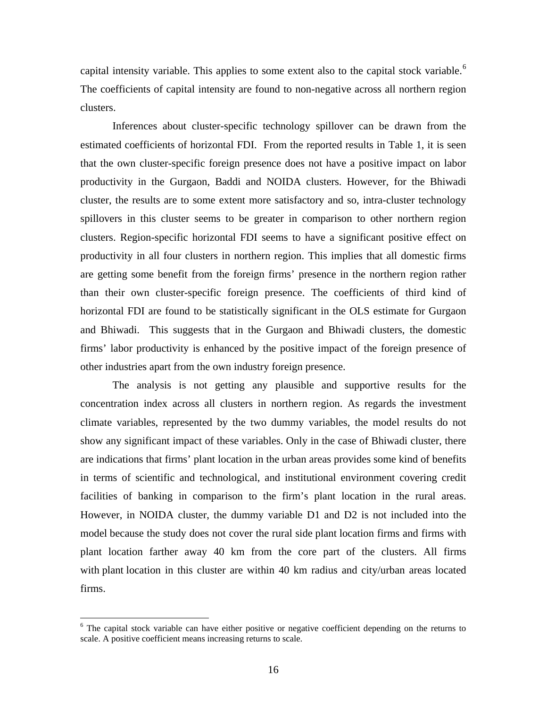capital intensity variable. This applies to some extent also to the capital stock variable.<sup>[6](#page-16-0)</sup> The coefficients of capital intensity are found to non-negative across all northern region clusters.

Inferences about cluster-specific technology spillover can be drawn from the estimated coefficients of horizontal FDI. From the reported results in Table 1, it is seen that the own cluster-specific foreign presence does not have a positive impact on labor productivity in the Gurgaon, Baddi and NOIDA clusters. However, for the Bhiwadi cluster, the results are to some extent more satisfactory and so, intra-cluster technology spillovers in this cluster seems to be greater in comparison to other northern region clusters. Region-specific horizontal FDI seems to have a significant positive effect on productivity in all four clusters in northern region. This implies that all domestic firms are getting some benefit from the foreign firms' presence in the northern region rather than their own cluster-specific foreign presence. The coefficients of third kind of horizontal FDI are found to be statistically significant in the OLS estimate for Gurgaon and Bhiwadi. This suggests that in the Gurgaon and Bhiwadi clusters, the domestic firms' labor productivity is enhanced by the positive impact of the foreign presence of other industries apart from the own industry foreign presence.

The analysis is not getting any plausible and supportive results for the concentration index across all clusters in northern region. As regards the investment climate variables, represented by the two dummy variables, the model results do not show any significant impact of these variables. Only in the case of Bhiwadi cluster, there are indications that firms' plant location in the urban areas provides some kind of benefits in terms of scientific and technological, and institutional environment covering credit facilities of banking in comparison to the firm's plant location in the rural areas. However, in NOIDA cluster, the dummy variable D1 and D2 is not included into the model because the study does not cover the rural side plant location firms and firms with plant location farther away 40 km from the core part of the clusters. All firms with plant location in this cluster are within 40 km radius and city/urban areas located firms.

<span id="page-16-0"></span><sup>&</sup>lt;sup>6</sup> The capital stock variable can have either positive or negative coefficient depending on the returns to scale. A positive coefficient means increasing returns to scale.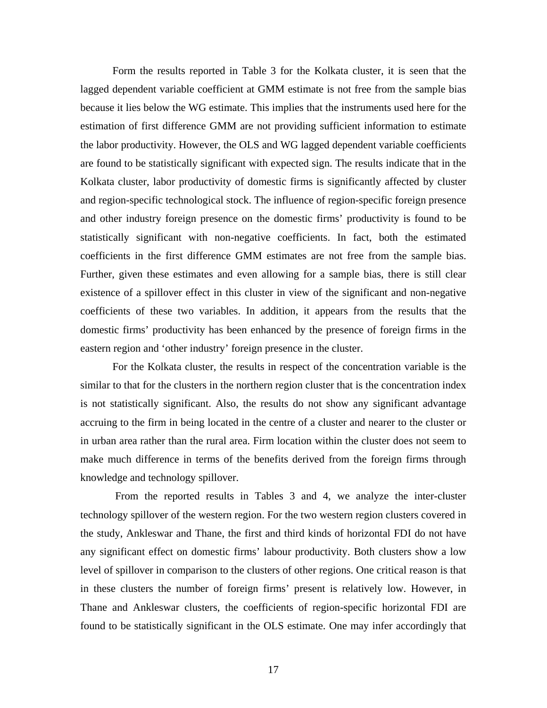Form the results reported in Table 3 for the Kolkata cluster, it is seen that the lagged dependent variable coefficient at GMM estimate is not free from the sample bias because it lies below the WG estimate. This implies that the instruments used here for the estimation of first difference GMM are not providing sufficient information to estimate the labor productivity. However, the OLS and WG lagged dependent variable coefficients are found to be statistically significant with expected sign. The results indicate that in the Kolkata cluster, labor productivity of domestic firms is significantly affected by cluster and region-specific technological stock. The influence of region-specific foreign presence and other industry foreign presence on the domestic firms' productivity is found to be statistically significant with non-negative coefficients. In fact, both the estimated coefficients in the first difference GMM estimates are not free from the sample bias. Further, given these estimates and even allowing for a sample bias, there is still clear existence of a spillover effect in this cluster in view of the significant and non-negative coefficients of these two variables. In addition, it appears from the results that the domestic firms' productivity has been enhanced by the presence of foreign firms in the eastern region and 'other industry' foreign presence in the cluster.

For the Kolkata cluster, the results in respect of the concentration variable is the similar to that for the clusters in the northern region cluster that is the concentration index is not statistically significant. Also, the results do not show any significant advantage accruing to the firm in being located in the centre of a cluster and nearer to the cluster or in urban area rather than the rural area. Firm location within the cluster does not seem to make much difference in terms of the benefits derived from the foreign firms through knowledge and technology spillover.

From the reported results in Tables 3 and 4, we analyze the inter-cluster technology spillover of the western region. For the two western region clusters covered in the study, Ankleswar and Thane, the first and third kinds of horizontal FDI do not have any significant effect on domestic firms' labour productivity. Both clusters show a low level of spillover in comparison to the clusters of other regions. One critical reason is that in these clusters the number of foreign firms' present is relatively low. However, in Thane and Ankleswar clusters, the coefficients of region-specific horizontal FDI are found to be statistically significant in the OLS estimate. One may infer accordingly that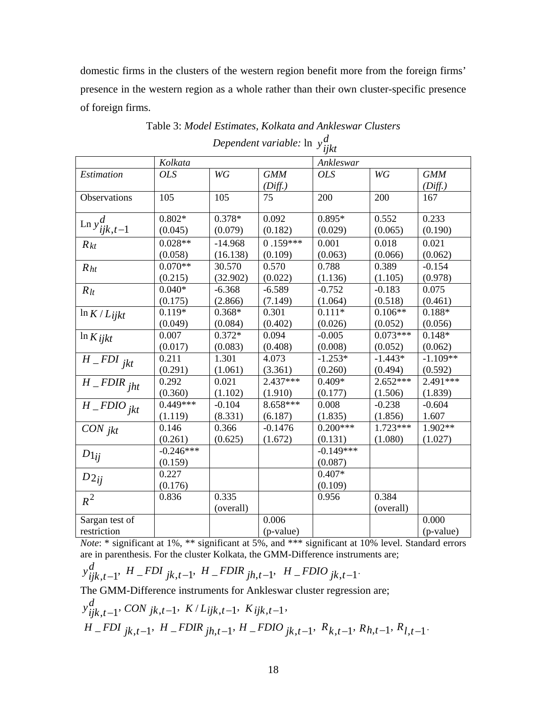domestic firms in the clusters of the western region benefit more from the foreign firms' presence in the western region as a whole rather than their own cluster-specific presence of foreign firms.

|                          |             |           |            | yri         |            |            |
|--------------------------|-------------|-----------|------------|-------------|------------|------------|
|                          | Kolkata     |           |            | Ankleswar   |            |            |
| Estimation               | <b>OLS</b>  | WG        | <b>GMM</b> | <b>OLS</b>  | WG         | <b>GMM</b> |
|                          |             |           | (Diff.)    |             |            | (Diff.)    |
| Observations             | 105         | 105       | 75         | 200         | 200        | 167        |
| Ln $y_{ijk,t-1}^d$       | $0.802*$    | $0.378*$  | 0.092      | $0.895*$    | 0.552      | 0.233      |
|                          | (0.045)     | (0.079)   | (0.182)    | (0.029)     | (0.065)    | (0.190)    |
| $R_{kt}$                 | $0.028**$   | $-14.968$ | $0.159***$ | 0.001       | 0.018      | 0.021      |
|                          | (0.058)     | (16.138)  | (0.109)    | (0.063)     | (0.066)    | (0.062)    |
| R <sub>ht</sub>          | $0.070**$   | 30.570    | 0.570      | 0.788       | 0.389      | $-0.154$   |
|                          | (0.215)     | (32.902)  | (0.022)    | (1.136)     | (1.105)    | (0.978)    |
| $R_{lt}$                 | $0.040*$    | $-6.368$  | $-6.589$   | $-0.752$    | $-0.183$   | 0.075      |
|                          | (0.175)     | (2.866)   | (7.149)    | (1.064)     | (0.518)    | (0.461)    |
| $\ln K/L_{ijkt}$         | $0.119*$    | $0.368*$  | 0.301      | $0.111*$    | $0.106**$  | $0.188*$   |
|                          | (0.049)     | (0.084)   | (0.402)    | (0.026)     | (0.052)    | (0.056)    |
| $\ln K$ ijkt             | 0.007       | $0.372*$  | 0.094      | $-0.005$    | $0.073***$ | $0.148*$   |
|                          | (0.017)     | (0.083)   | (0.408)    | (0.008)     | (0.052)    | (0.062)    |
| $\overline{H}$ _FDI jkt  | 0.211       | 1.301     | 4.073      | $-1.253*$   | $-1.443*$  | $-1.109**$ |
|                          | (0.291)     | (1.061)   | (3.361)    | (0.260)     | (0.494)    | (0.592)    |
| $\overline{H\_FDIR}$ jht | 0.292       | 0.021     | $2.437***$ | $0.409*$    | $2.652***$ | $2.491***$ |
|                          | (0.360)     | (1.102)   | (1.910)    | (0.177)     | (1.506)    | (1.839)    |
| $H$ <sub>-FDIOjkt</sub>  | $0.449***$  | $-0.104$  | 8.658***   | 0.008       | $-0.238$   | $-0.604$   |
|                          | (1.119)     | (8.331)   | (6.187)    | (1.835)     | (1.856)    | 1.607      |
| CON <sub>jkt</sub>       | 0.146       | 0.366     | $-0.1476$  | $0.200***$  | $1.723***$ | 1.902**    |
|                          | (0.261)     | (0.625)   | (1.672)    | (0.131)     | (1.080)    | (1.027)    |
| $D1_{ij}$                | $-0.246***$ |           |            | $-0.149***$ |            |            |
|                          | (0.159)     |           |            | (0.087)     |            |            |
| $D_{2ij}$                | 0.227       |           |            | $0.407*$    |            |            |
|                          | (0.176)     |           |            | (0.109)     |            |            |
| $R^2$                    | 0.836       | 0.335     |            | 0.956       | 0.384      |            |
|                          |             | (overall) |            |             | (overall)  |            |
| Sargan test of           |             |           | 0.006      |             |            | 0.000      |
| restriction              |             |           | (p-value)  |             |            | (p-value)  |

Table 3: *Model Estimates, Kolkata and Ankleswar Clusters*

*Dependent variable:* ln *yd ijkt*

*Note*: \* significant at 1%, \*\* significant at 5%, and \*\*\* significant at 10% level. Standard errors are in parenthesis. For the cluster Kolkata, the GMM-Difference instruments are;

$$
y_{ijk,t-1}^d
$$
,  $H\_FDI_{jk,t-1}$ ,  $H\_FDIR_{jh,t-1}$ ,  $H\_FDIO_{jk,t-1}$ .

The GMM-Difference instruments for Ankleswar cluster regression are;

$$
y_{ijk,t-1}^d, \text{CON } jk,t-1, \ K/Lijk,t-1, \ Kijk,t-1,
$$
  
H\_FDI<sub>jk,t-1</sub>, H\_FDIR<sub>jh,t-1</sub>, H\_FDIO<sub>jk,t-1</sub>, R<sub>k,t-1</sub>, R<sub>h,t-1</sub>, R<sub>l,t-1</sub>.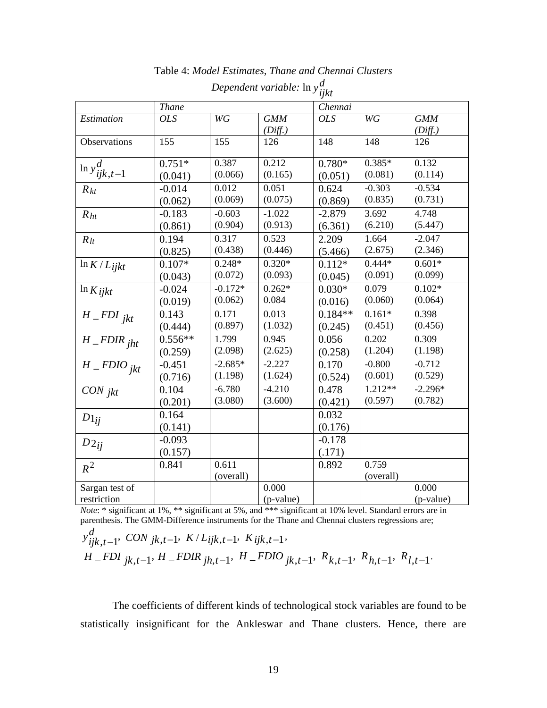|                            | <b>Thane</b> |               |            | Chennai    |           |            |
|----------------------------|--------------|---------------|------------|------------|-----------|------------|
| Estimation                 | <b>OLS</b>   | $\mathbb{W}G$ | <b>GMM</b> | <b>OLS</b> | WG        | <b>GMM</b> |
|                            |              |               | (Diff.)    |            |           | (Diff.)    |
| Observations               | 155          | 155           | 126        | 148        | 148       | 126        |
|                            |              |               |            |            |           |            |
| $\ln y_{ijk,t-1}^d$        | $0.751*$     | 0.387         | 0.212      | $0.780*$   | $0.385*$  | 0.132      |
|                            | (0.041)      | (0.066)       | (0.165)    | (0.051)    | (0.081)   | (0.114)    |
| $R_{kt}$                   | $-0.014$     | 0.012         | 0.051      | 0.624      | $-0.303$  | $-0.534$   |
|                            | (0.062)      | (0.069)       | (0.075)    | (0.869)    | (0.835)   | (0.731)    |
| $R_{ht}$                   | $-0.183$     | $-0.603$      | $-1.022$   | $-2.879$   | 3.692     | 4.748      |
|                            | (0.861)      | (0.904)       | (0.913)    | (6.361)    | (6.210)   | (5.447)    |
| $R_{lt}$                   | 0.194        | 0.317         | 0.523      | 2.209      | 1.664     | $-2.047$   |
|                            | (0.825)      | (0.438)       | (0.446)    | (5.466)    | (2.675)   | (2.346)    |
| $\ln K/L_{ij}$ kt          | $0.107*$     | $0.248*$      | $0.320*$   | $0.112*$   | $0.444*$  | $0.601*$   |
|                            | (0.043)      | (0.072)       | (0.093)    | (0.045)    | (0.091)   | (0.099)    |
| $\ln K$ ijkt               | $-0.024$     | $-0.172*$     | $0.262*$   | $0.030*$   | 0.079     | $0.102*$   |
|                            | (0.019)      | (0.062)       | 0.084      | (0.016)    | (0.060)   | (0.064)    |
| $\overline{H}$ _FDI jkt    | 0.143        | 0.171         | 0.013      | $0.184**$  | $0.161*$  | 0.398      |
|                            | (0.444)      | (0.897)       | (1.032)    | (0.245)    | (0.451)   | (0.456)    |
| $H$ <sub>_FDIR jht</sub>   | $0.556**$    | 1.799         | 0.945      | 0.056      | 0.202     | 0.309      |
|                            | (0.259)      | (2.098)       | (2.625)    | (0.258)    | (1.204)   | (1.198)    |
| $\overline{H\_FDIO}_{jkt}$ | $-0.451$     | $-2.685*$     | $-2.227$   | 0.170      | $-0.800$  | $-0.712$   |
|                            | (0.716)      | (1.198)       | (1.624)    | (0.524)    | (0.601)   | (0.529)    |
| CON <sub>jkt</sub>         | 0.104        | $-6.780$      | $-4.210$   | 0.478      | $1.212**$ | $-2.296*$  |
|                            | (0.201)      | (3.080)       | (3.600)    | (0.421)    | (0.597)   | (0.782)    |
| $D_{1ij}$                  | 0.164        |               |            | 0.032      |           |            |
|                            | (0.141)      |               |            | (0.176)    |           |            |
| $D2_{ij}$                  | $-0.093$     |               |            | $-0.178$   |           |            |
|                            | (0.157)      |               |            | (.171)     |           |            |
| $R^2$                      | 0.841        | 0.611         |            | 0.892      | 0.759     |            |
|                            |              | (overall)     |            |            | (overall) |            |
| Sargan test of             |              |               | 0.000      |            |           | 0.000      |
| restriction                |              |               | (p-value)  |            |           | (p-value)  |

Table 4: *Model Estimates, Thane and Chennai Clusters Dependent variable:* ln *yd ijkt*

*Note*: \* significant at 1%, \*\* significant at 5%, and \*\*\* significant at 10% level. Standard errors are in parenthesis. The GMM-Difference instruments for the Thane and Chennai clusters regressions are;

$$
y_{ijk,t-1}^{d},\text{CON }_{jk,t-1},\text{ K}/L_{ijk,t-1},\text{ K }_{ijk,t-1},\text{ K}_{ijk,t-1},\text{ R}_{k,t-1},\text{ R}_{h,t-1},\text{ R}_{l,t-1}.
$$

The coefficients of different kinds of technological stock variables are found to be statistically insignificant for the Ankleswar and Thane clusters. Hence, there are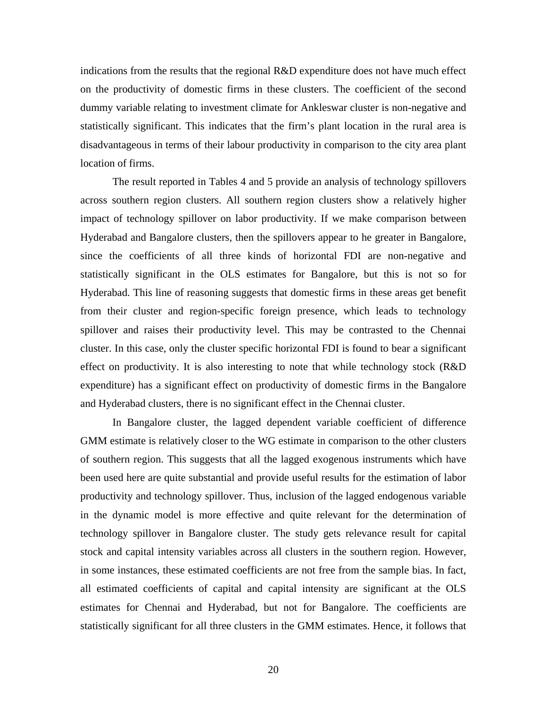indications from the results that the regional R&D expenditure does not have much effect on the productivity of domestic firms in these clusters. The coefficient of the second dummy variable relating to investment climate for Ankleswar cluster is non-negative and statistically significant. This indicates that the firm's plant location in the rural area is disadvantageous in terms of their labour productivity in comparison to the city area plant location of firms.

The result reported in Tables 4 and 5 provide an analysis of technology spillovers across southern region clusters. All southern region clusters show a relatively higher impact of technology spillover on labor productivity. If we make comparison between Hyderabad and Bangalore clusters, then the spillovers appear to he greater in Bangalore, since the coefficients of all three kinds of horizontal FDI are non-negative and statistically significant in the OLS estimates for Bangalore, but this is not so for Hyderabad. This line of reasoning suggests that domestic firms in these areas get benefit from their cluster and region-specific foreign presence, which leads to technology spillover and raises their productivity level. This may be contrasted to the Chennai cluster. In this case, only the cluster specific horizontal FDI is found to bear a significant effect on productivity. It is also interesting to note that while technology stock (R&D expenditure) has a significant effect on productivity of domestic firms in the Bangalore and Hyderabad clusters, there is no significant effect in the Chennai cluster.

In Bangalore cluster, the lagged dependent variable coefficient of difference GMM estimate is relatively closer to the WG estimate in comparison to the other clusters of southern region. This suggests that all the lagged exogenous instruments which have been used here are quite substantial and provide useful results for the estimation of labor productivity and technology spillover. Thus, inclusion of the lagged endogenous variable in the dynamic model is more effective and quite relevant for the determination of technology spillover in Bangalore cluster. The study gets relevance result for capital stock and capital intensity variables across all clusters in the southern region. However, in some instances, these estimated coefficients are not free from the sample bias. In fact, all estimated coefficients of capital and capital intensity are significant at the OLS estimates for Chennai and Hyderabad, but not for Bangalore. The coefficients are statistically significant for all three clusters in the GMM estimates. Hence, it follows that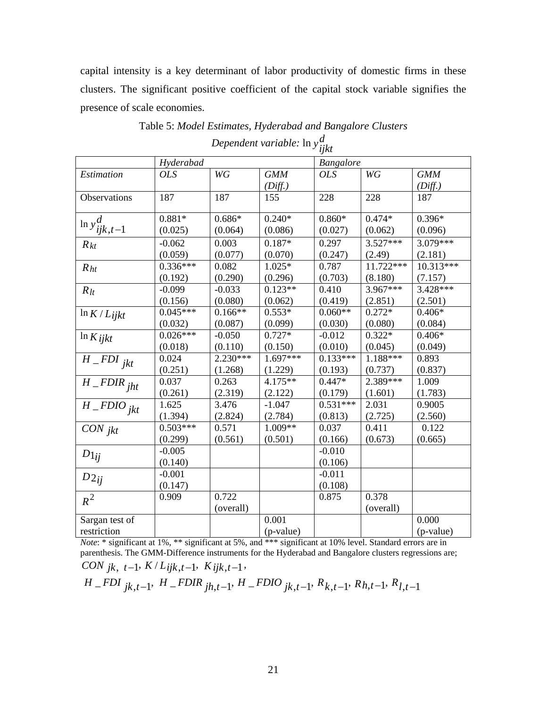capital intensity is a key determinant of labor productivity of domestic firms in these clusters. The significant positive coefficient of the capital stock variable signifies the presence of scale economies.

|                          |            |            |            | ijκι             |             |             |
|--------------------------|------------|------------|------------|------------------|-------------|-------------|
|                          | Hyderabad  |            |            | <b>Bangalore</b> |             |             |
| Estimation               | <b>OLS</b> | WG         | <b>GMM</b> | <b>OLS</b>       | WG          | <b>GMM</b>  |
|                          |            |            | (Diff.)    |                  |             | (Diff.)     |
| Observations             | 187        | 187        | 155        | 228              | 228         | 187         |
| $\ln y_{ijk,t-1}^d$      | $0.881*$   | $0.686*$   | $0.240*$   | $0.860*$         | $0.474*$    | $0.396*$    |
|                          | (0.025)    | (0.064)    | (0.086)    | (0.027)          | (0.062)     | (0.096)     |
| $R_{kt}$                 | $-0.062$   | 0.003      | $0.187*$   | 0.297            | $3.527***$  | 3.079***    |
|                          | (0.059)    | (0.077)    | (0.070)    | (0.247)          | (2.49)      | (2.181)     |
| R <sub>ht</sub>          | $0.336***$ | 0.082      | $1.025*$   | 0.787            | $11.722***$ | $10.313***$ |
|                          | (0.192)    | (0.290)    | (0.296)    | (0.703)          | (8.180)     | (7.157)     |
| $R_{lt}$                 | $-0.099$   | $-0.033$   | $0.123**$  | 0.410            | 3.967***    | 3.428***    |
|                          | (0.156)    | (0.080)    | (0.062)    | (0.419)          | (2.851)     | (2.501)     |
| $\ln K/L_{ijkt}$         | $0.045***$ | $0.166**$  | $0.553*$   | $0.060**$        | $0.272*$    | $0.406*$    |
|                          | (0.032)    | (0.087)    | (0.099)    | (0.030)          | (0.080)     | (0.084)     |
| $\ln K$ ijkt             | $0.026***$ | $-0.050$   | $0.727*$   | $-0.012$         | $0.322*$    | $0.406*$    |
|                          | (0.018)    | (0.110)    | (0.150)    | (0.010)          | (0.045)     | (0.049)     |
| $\overline{H}$ FDI jkt   | 0.024      | $2.230***$ | $1.697***$ | $0.133***$       | $1.188***$  | 0.893       |
|                          | (0.251)    | (1.268)    | (1.229)    | (0.193)          | (0.737)     | (0.837)     |
| $H$ <sub>_FDIR jht</sub> | 0.037      | 0.263      | $4.175**$  | $0.447*$         | 2.389***    | 1.009       |
|                          | (0.261)    | (2.319)    | (2.122)    | (0.179)          | (1.601)     | (1.783)     |
| $H$ <sub>-FDIOjkt</sub>  | 1.625      | 3.476      | $-1.047$   | $0.531***$       | 2.031       | 0.9005      |
|                          | (1.394)    | (2.824)    | (2.784)    | (0.813)          | (2.725)     | (2.560)     |
| CON <sub>jkt</sub>       | $0.503***$ | 0.571      | 1.009**    | 0.037            | 0.411       | 0.122       |
|                          | (0.299)    | (0.561)    | (0.501)    | (0.166)          | (0.673)     | (0.665)     |
| $D1_{ij}$                | $-0.005$   |            |            | $-0.010$         |             |             |
|                          | (0.140)    |            |            | (0.106)          |             |             |
| $D_{2ij}$                | $-0.001$   |            |            | $-0.011$         |             |             |
|                          | (0.147)    |            |            | (0.108)          |             |             |
| $R^2$                    | 0.909      | 0.722      |            | 0.875            | 0.378       |             |
|                          |            | (overall)  |            |                  | (overall)   |             |
| Sargan test of           |            |            | 0.001      |                  |             | 0.000       |
| restriction              |            |            | (p-value)  |                  |             | (p-value)   |

Table 5: *Model Estimates, Hyderabad and Bangalore Clusters Dependent variable:* ln *yd ijkt*

*Note*: \* significant at 1%, \*\* significant at 5%, and \*\*\* significant at 10% level. Standard errors are in parenthesis. The GMM-Difference instruments for the Hyderabad and Bangalore clusters regressions are; *CON*  $jk, t-1, K/Lijk, t-1, Kijk, t-1$ ,

 $H$  \_FDI  $_{jk,t-1}$ ,  $H$  \_FDIR  $_{jh,t-1}$ ,  $H$  \_FDIO  $_{jk,t-1}$ ,  $R_{k,t-1}$ ,  $R_{h,t-1}$ ,  $R_{l,t-1}$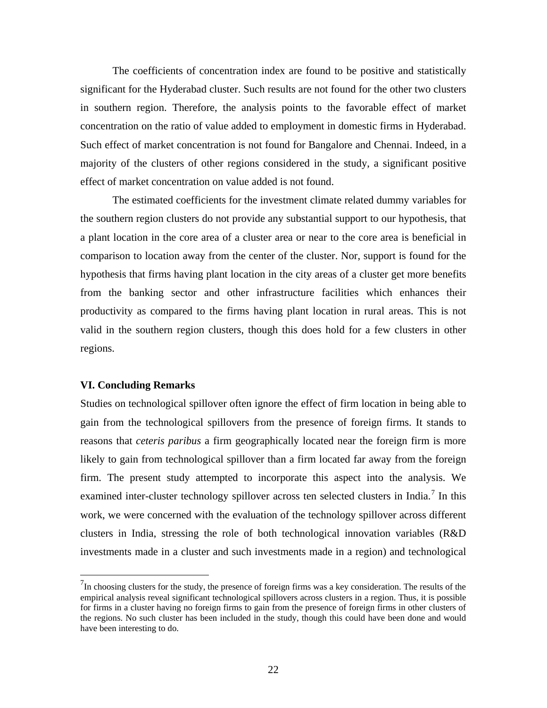The coefficients of concentration index are found to be positive and statistically significant for the Hyderabad cluster. Such results are not found for the other two clusters in southern region. Therefore, the analysis points to the favorable effect of market concentration on the ratio of value added to employment in domestic firms in Hyderabad. Such effect of market concentration is not found for Bangalore and Chennai. Indeed, in a majority of the clusters of other regions considered in the study, a significant positive effect of market concentration on value added is not found.

The estimated coefficients for the investment climate related dummy variables for the southern region clusters do not provide any substantial support to our hypothesis, that a plant location in the core area of a cluster area or near to the core area is beneficial in comparison to location away from the center of the cluster. Nor, support is found for the hypothesis that firms having plant location in the city areas of a cluster get more benefits from the banking sector and other infrastructure facilities which enhances their productivity as compared to the firms having plant location in rural areas. This is not valid in the southern region clusters, though this does hold for a few clusters in other regions.

### **VI. Concluding Remarks**

Studies on technological spillover often ignore the effect of firm location in being able to gain from the technological spillovers from the presence of foreign firms. It stands to reasons that *ceteris paribus* a firm geographically located near the foreign firm is more likely to gain from technological spillover than a firm located far away from the foreign firm. The present study attempted to incorporate this aspect into the analysis. We examined inter-cluster technology spillover across ten selected clusters in India.<sup>[7](#page-22-0)</sup> In this work, we were concerned with the evaluation of the technology spillover across different clusters in India, stressing the role of both technological innovation variables (R&D investments made in a cluster and such investments made in a region) and technological

<span id="page-22-0"></span><sup>&</sup>lt;sup>7</sup>In choosing clusters for the study, the presence of foreign firms was a key consideration. The results of the empirical analysis reveal significant technological spillovers across clusters in a region. Thus, it is possible for firms in a cluster having no foreign firms to gain from the presence of foreign firms in other clusters of the regions. No such cluster has been included in the study, though this could have been done and would have been interesting to do.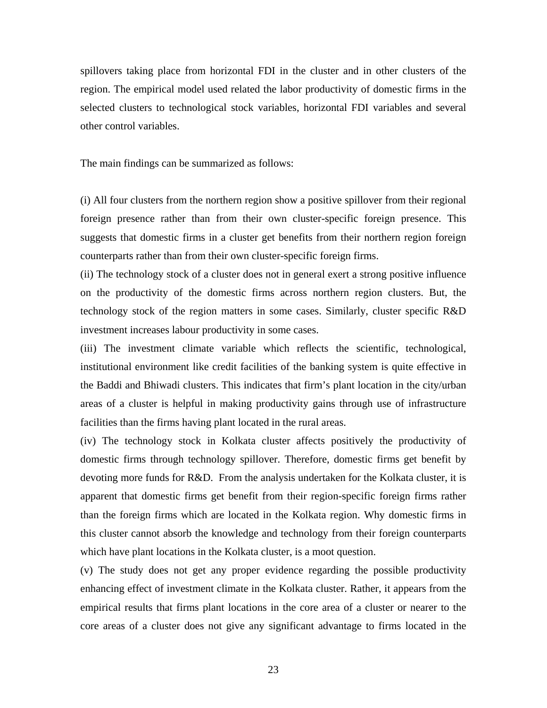spillovers taking place from horizontal FDI in the cluster and in other clusters of the region. The empirical model used related the labor productivity of domestic firms in the selected clusters to technological stock variables, horizontal FDI variables and several other control variables.

The main findings can be summarized as follows:

(i) All four clusters from the northern region show a positive spillover from their regional foreign presence rather than from their own cluster-specific foreign presence. This suggests that domestic firms in a cluster get benefits from their northern region foreign counterparts rather than from their own cluster-specific foreign firms.

(ii) The technology stock of a cluster does not in general exert a strong positive influence on the productivity of the domestic firms across northern region clusters. But, the technology stock of the region matters in some cases. Similarly, cluster specific R&D investment increases labour productivity in some cases.

(iii) The investment climate variable which reflects the scientific, technological, institutional environment like credit facilities of the banking system is quite effective in the Baddi and Bhiwadi clusters. This indicates that firm's plant location in the city/urban areas of a cluster is helpful in making productivity gains through use of infrastructure facilities than the firms having plant located in the rural areas.

(iv) The technology stock in Kolkata cluster affects positively the productivity of domestic firms through technology spillover. Therefore, domestic firms get benefit by devoting more funds for R&D. From the analysis undertaken for the Kolkata cluster, it is apparent that domestic firms get benefit from their region-specific foreign firms rather than the foreign firms which are located in the Kolkata region. Why domestic firms in this cluster cannot absorb the knowledge and technology from their foreign counterparts which have plant locations in the Kolkata cluster, is a moot question.

(v) The study does not get any proper evidence regarding the possible productivity enhancing effect of investment climate in the Kolkata cluster. Rather, it appears from the empirical results that firms plant locations in the core area of a cluster or nearer to the core areas of a cluster does not give any significant advantage to firms located in the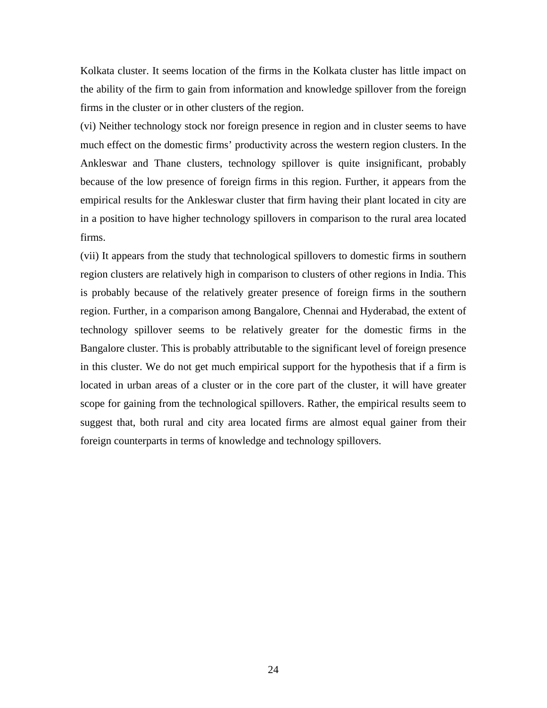Kolkata cluster. It seems location of the firms in the Kolkata cluster has little impact on the ability of the firm to gain from information and knowledge spillover from the foreign firms in the cluster or in other clusters of the region.

(vi) Neither technology stock nor foreign presence in region and in cluster seems to have much effect on the domestic firms' productivity across the western region clusters. In the Ankleswar and Thane clusters, technology spillover is quite insignificant, probably because of the low presence of foreign firms in this region. Further, it appears from the empirical results for the Ankleswar cluster that firm having their plant located in city are in a position to have higher technology spillovers in comparison to the rural area located firms.

(vii) It appears from the study that technological spillovers to domestic firms in southern region clusters are relatively high in comparison to clusters of other regions in India. This is probably because of the relatively greater presence of foreign firms in the southern region. Further, in a comparison among Bangalore, Chennai and Hyderabad, the extent of technology spillover seems to be relatively greater for the domestic firms in the Bangalore cluster. This is probably attributable to the significant level of foreign presence in this cluster. We do not get much empirical support for the hypothesis that if a firm is located in urban areas of a cluster or in the core part of the cluster, it will have greater scope for gaining from the technological spillovers. Rather, the empirical results seem to suggest that, both rural and city area located firms are almost equal gainer from their foreign counterparts in terms of knowledge and technology spillovers.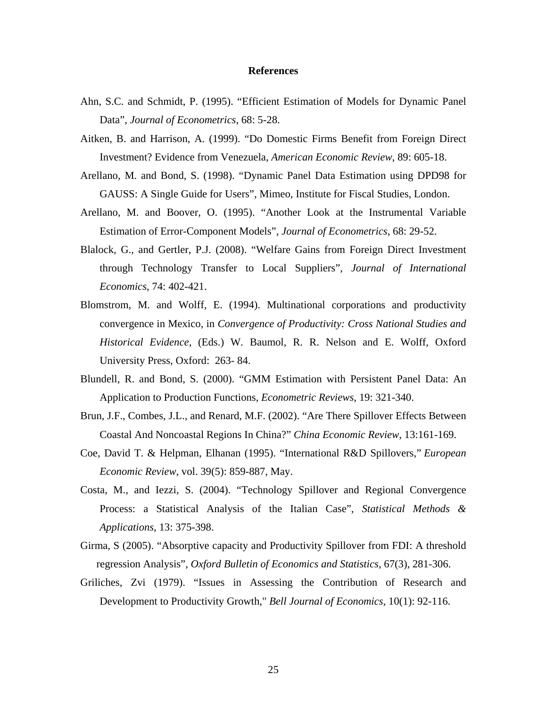#### **References**

- Ahn, S.C. and Schmidt, P. (1995). "Efficient Estimation of Models for Dynamic Panel Data", *Journal of Econometrics*, 68: 5-28.
- Aitken, B. and Harrison, A. (1999). "Do Domestic Firms Benefit from Foreign Direct Investment? Evidence from Venezuela, *American Economic Review*, 89: 605-18.
- Arellano, M. and Bond, S. (1998). "Dynamic Panel Data Estimation using DPD98 for GAUSS: A Single Guide for Users", Mimeo, Institute for Fiscal Studies, London.
- Arellano, M. and Boover, O. (1995). "Another Look at the Instrumental Variable Estimation of Error-Component Models", *Journal of Econometrics*, 68: 29-52.
- Blalock, G., and Gertler, P.J. (2008). "Welfare Gains from Foreign Direct Investment through Technology Transfer to Local Suppliers", *Journal of International Economics*, 74: 402-421.
- Blomstrom, M. and Wolff, E. (1994). Multinational corporations and productivity convergence in Mexico, in *Convergence of Productivity: Cross National Studies and Historical Evidence*, (Eds.) W. Baumol, R. R. Nelson and E. Wolff, Oxford University Press, Oxford: 263- 84.
- Blundell, R. and Bond, S. (2000). "GMM Estimation with Persistent Panel Data: An Application to Production Functions, *Econometric Reviews*, 19: 321-340.
- Brun, J.F., Combes, J.L., and Renard, M.F. (2002). "Are There Spillover Effects Between Coastal And Noncoastal Regions In China?" *China Economic Review*, 13:161-169.
- Coe, David T. & Helpman, Elhanan (1995). ["International R&D Spillovers,](http://ideas.repec.org/a/eee/eecrev/v39y1995i5p859-887.html)" *[European](http://ideas.repec.org/s/eee/eecrev.html)  [Economic Review](http://ideas.repec.org/s/eee/eecrev.html)*, vol. 39(5): 859-887, May.
- Costa, M., and Iezzi, S. (2004). "Technology Spillover and Regional Convergence Process: a Statistical Analysis of the Italian Case", *Statistical Methods & Applications*, 13: 375-398.
- Girma, S (2005). "Absorptive capacity and Productivity Spillover from FDI: A threshold regression Analysis", *Oxford Bulletin of Economics and Statistics*, 67(3), 281-306.
- Griliches, Zvi (1979). ["Issues in Assessing the Contribution of Research and](http://ideas.repec.org/a/rje/bellje/v10y1979ispringp92-116.html)  [Development to Productivity Growth,](http://ideas.repec.org/a/rje/bellje/v10y1979ispringp92-116.html)" *[Bell Journal of Economics](http://ideas.repec.org/s/rje/bellje.html)*, 10(1): 92-116.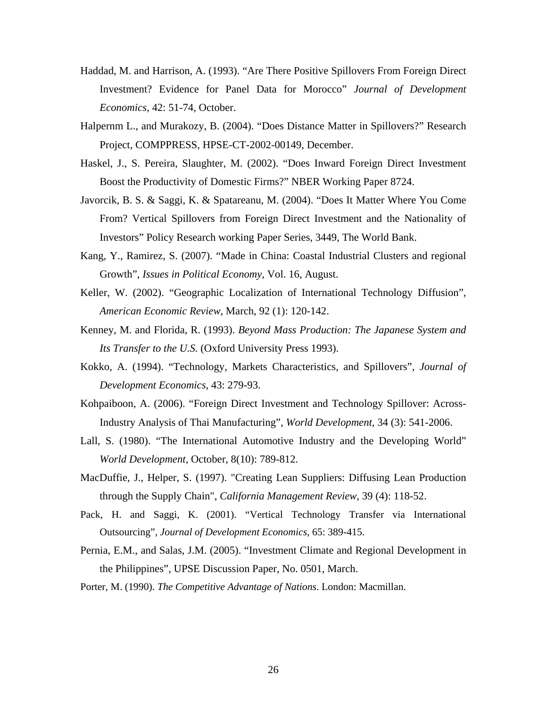- Haddad, M. and Harrison, A. (1993). "Are There Positive Spillovers From Foreign Direct Investment? Evidence for Panel Data for Morocco" *Journal of Development Economics,* 42: 51-74, October.
- Halpernm L., and Murakozy, B. (2004). "Does Distance Matter in Spillovers?" Research Project, COMPPRESS, HPSE-CT-2002-00149, December.
- Haskel, J., S. Pereira, Slaughter, M. (2002). "Does Inward Foreign Direct Investment Boost the Productivity of Domestic Firms?" NBER Working Paper 8724.
- Javorcik, B. S. & Saggi, K. & Spatareanu, M. (2004). "Does It Matter Where You Come From? Vertical Spillovers from Foreign Direct Investment and the Nationality of Investors" Policy Research working Paper Series, 3449, The World Bank.
- Kang, Y., Ramirez, S. (2007). "Made in China: Coastal Industrial Clusters and regional Growth", *Issues in Political Economy*, Vol. 16, August.
- Keller, W. (2002). "Geographic Localization of International Technology Diffusion", *American Economic Review*, March, 92 (1): 120-142.
- Kenney, M. and Florida, R. (1993). *Beyond Mass Production: The Japanese System and Its Transfer to the U.S.* (Oxford University Press 1993).
- Kokko, A. (1994). "Technology, Markets Characteristics, and Spillovers", *Journal of Development Economics*, 43: 279-93.
- Kohpaiboon, A. (2006). "Foreign Direct Investment and Technology Spillover: Across-Industry Analysis of Thai Manufacturing", *World Development*, 34 (3): 541-2006.
- Lall, S. (1980). "The International Automotive Industry and the Developing World" *World Development,* October, 8(10): 789-812.
- MacDuffie, J., Helper, S. (1997). "Creating Lean Suppliers: Diffusing Lean Production through the Supply Chain", *California Management Review*, 39 (4): 118-52.
- Pack, H. and Saggi, K. (2001). "Vertical Technology Transfer via International Outsourcing", *Journal of Development Economics*, 65: 389-415.
- Pernia, E.M., and Salas, J.M. (2005). "Investment Climate and Regional Development in the Philippines", UPSE Discussion Paper, No. 0501, March.
- Porter, M. (1990). *The Competitive Advantage of Nations*. London: Macmillan.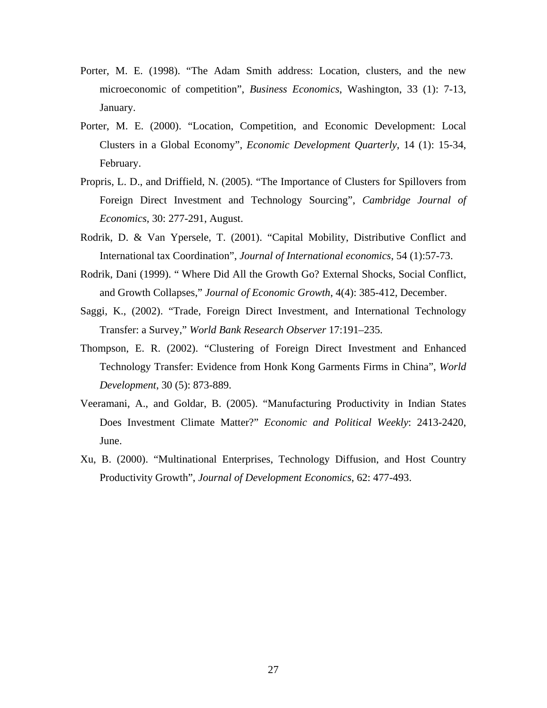- Porter, M. E. (1998). "The Adam Smith address: Location, clusters, and the new microeconomic of competition", *Business Economics*, Washington, 33 (1): 7-13, January.
- Porter, M. E. (2000). "Location, Competition, and Economic Development: Local Clusters in a Global Economy", *Economic Development Quarterly*, 14 (1): 15-34, February.
- Propris, L. D., and Driffield, N. (2005). "The Importance of Clusters for Spillovers from Foreign Direct Investment and Technology Sourcing", *Cambridge Journal of Economics*, 30: 277-291, August.
- Rodrik, D. & Van Ypersele, T. (2001). "Capital Mobility, Distributive Conflict and International tax Coordination", *Journal of International economics*, 54 (1):57-73.
- Rodrik, Dani (1999). " [Where Did All the Growth Go? External Shocks, Social Conflict,](http://ideas.repec.org/a/kap/jecgro/v4y1999i4p385-412.html)  [and Growth Collapses,](http://ideas.repec.org/a/kap/jecgro/v4y1999i4p385-412.html)" *[Journal of Economic Growth](http://ideas.repec.org/s/kap/jecgro.html)*, 4(4): 385-412, December.
- Saggi, K., (2002). "Trade, Foreign Direct Investment, and International Technology Transfer: a Survey," *World Bank Research Observer* 17:191–235.
- Thompson, E. R. (2002). "Clustering of Foreign Direct Investment and Enhanced Technology Transfer: Evidence from Honk Kong Garments Firms in China", *World Development*, 30 (5): 873-889.
- Veeramani, A., and Goldar, B. (2005). "Manufacturing Productivity in Indian States Does Investment Climate Matter?" *Economic and Political Weekly*: 2413-2420, June.
- Xu, B. (2000). "Multinational Enterprises, Technology Diffusion, and Host Country Productivity Growth", *Journal of Development Economics*, 62: 477-493.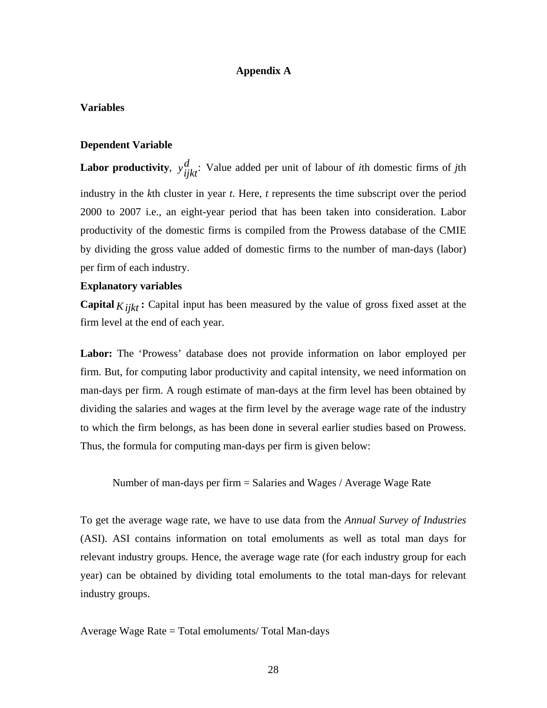### **Appendix A**

### **Variables**

### **Dependent Variable**

**Labor productivity**,  $y_{ijk}^d$ : Value added per unit of labour of *i*th domestic firms of *j*th industry in the *k*th cluster in year *t*. Here, *t* represents the time subscript over the period 2000 to 2007 i.e., an eight-year period that has been taken into consideration. Labor productivity of the domestic firms is compiled from the Prowess database of the CMIE by dividing the gross value added of domestic firms to the number of man-days (labor) per firm of each industry.

#### **Explanatory variables**

**Capital**  $K_{i}$ : Capital input has been measured by the value of gross fixed asset at the firm level at the end of each year.

**Labor:** The 'Prowess' database does not provide information on labor employed per firm. But, for computing labor productivity and capital intensity, we need information on man-days per firm. A rough estimate of man-days at the firm level has been obtained by dividing the salaries and wages at the firm level by the average wage rate of the industry to which the firm belongs, as has been done in several earlier studies based on Prowess. Thus, the formula for computing man-days per firm is given below:

Number of man-days per firm = Salaries and Wages / Average Wage Rate

To get the average wage rate, we have to use data from the *Annual Survey of Industries* (ASI). ASI contains information on total emoluments as well as total man days for relevant industry groups. Hence, the average wage rate (for each industry group for each year) can be obtained by dividing total emoluments to the total man-days for relevant industry groups.

Average Wage Rate = Total emoluments/ Total Man-days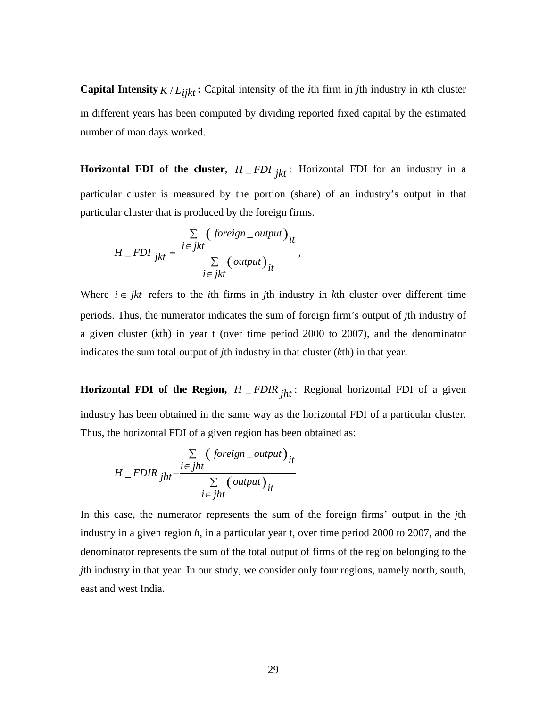**Capital Intensity**  $K/L_{iik}$ : Capital intensity of the *i*th firm in *j*th industry in *k*th cluster in different years has been computed by dividing reported fixed capital by the estimated number of man days worked.

**Horizontal FDI of the cluster**,  $H$ <sub>*\_FDI*  $_{ikt}$ : Horizontal FDI for an industry in a</sub> particular cluster is measured by the portion (share) of an industry's output in that particular cluster that is produced by the foreign firms.

$$
H\_FDI_{jkt} = \frac{\sum\limits_{i \in jkt} (foreign\_output)_{it}}{\sum\limits_{i \in jkt} (output)_{it}},
$$

Where  $i \in jkt$  refers to the *i*th firms in *j*th industry in *k*th cluster over different time periods. Thus, the numerator indicates the sum of foreign firm's output of *j*th industry of a given cluster (*k*th) in year t (over time period 2000 to 2007), and the denominator indicates the sum total output of *j*th industry in that cluster (*k*th) in that year.

**Horizontal FDI of the Region,**  $H$  \_ *FDIR*  $_{iht}$ : Regional horizontal FDI of a given industry has been obtained in the same way as the horizontal FDI of a particular cluster. Thus, the horizontal FDI of a given region has been obtained as:

$$
H\_FDIR_{jht} = \frac{\sum\limits_{i \in jht} (foreign\_output)_{it}}{\sum\limits_{i \in jht} (output)_{it}}
$$

In this case, the numerator represents the sum of the foreign firms' output in the *j*th industry in a given region *h*, in a particular year t, over time period 2000 to 2007, and the denominator represents the sum of the total output of firms of the region belonging to the *j*th industry in that year. In our study, we consider only four regions, namely north, south, east and west India.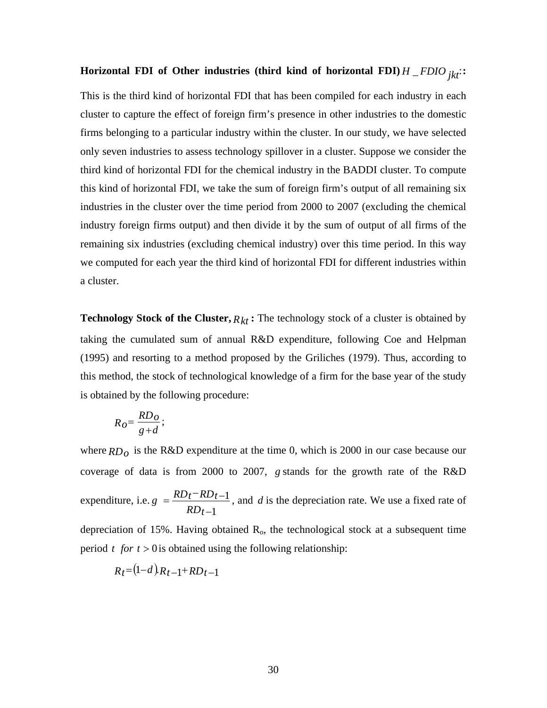## **Horizontal FDI of Other industries** (third kind of horizontal FDI)  $H$  \_ *FDIO*  $_{ik}$  :

This is the third kind of horizontal FDI that has been compiled for each industry in each cluster to capture the effect of foreign firm's presence in other industries to the domestic firms belonging to a particular industry within the cluster. In our study, we have selected only seven industries to assess technology spillover in a cluster. Suppose we consider the third kind of horizontal FDI for the chemical industry in the BADDI cluster. To compute this kind of horizontal FDI, we take the sum of foreign firm's output of all remaining six industries in the cluster over the time period from 2000 to 2007 (excluding the chemical industry foreign firms output) and then divide it by the sum of output of all firms of the remaining six industries (excluding chemical industry) over this time period. In this way we computed for each year the third kind of horizontal FDI for different industries within a cluster.

**Technology Stock of the Cluster,**  $R_{kt}$ : The technology stock of a cluster is obtained by taking the cumulated sum of annual R&D expenditure, following Coe and Helpman (1995) and resorting to a method proposed by the Griliches (1979). Thus, according to this method, the stock of technological knowledge of a firm for the base year of the study is obtained by the following procedure:

$$
R_O = \frac{RD_O}{g + d};
$$

where  $RD<sub>o</sub>$  is the R&D expenditure at the time 0, which is 2000 in our case because our coverage of data is from 2000 to 2007, *g* stands for the growth rate of the R&D expenditure, i.e. *RDt*  $g = \frac{RD_t - RD_t}{l}$ 1 1 −  $=\frac{RD_t - RD_{t-1}}{R}$ , and *d* is the depreciation rate. We use a fixed rate of depreciation of 15%. Having obtained  $R_0$ , the technological stock at a subsequent time period  $t$  *for*  $t > 0$  is obtained using the following relationship:

$$
R_t = (1-d)R_{t-1} + RD_{t-1}
$$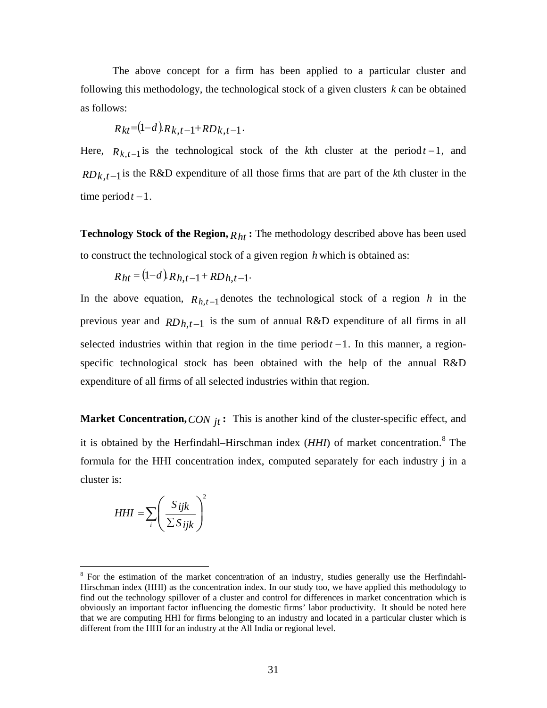The above concept for a firm has been applied to a particular cluster and following this methodology, the technological stock of a given clusters *k* can be obtained as follows:

$$
R_{kt} = (1-d)R_{k,t-1} + RD_{k,t-1}.
$$

Here,  $R_{k,t-1}$  is the technological stock of the *k*th cluster at the period  $t-1$ , and *RD<sub>k</sub>*,*t*−1</sub> is the R&D expenditure of all those firms that are part of the *k*th cluster in the time period  $t - 1$ .

**Technology Stock of the Region,**  $R_{ht}$ : The methodology described above has been used to construct the technological stock of a given region *h* which is obtained as:

$$
R_{ht} = (1-d) R_{h,t-1} + R D_{h,t-1}.
$$

In the above equation,  $R_{h,t-1}$  denotes the technological stock of a region *h* in the previous year and *RDh*,*t*−1 is the sum of annual R&D expenditure of all firms in all selected industries within that region in the time period  $t-1$ . In this manner, a regionspecific technological stock has been obtained with the help of the annual R&D expenditure of all firms of all selected industries within that region.

**Market Concentration,** *CON*  $_{it}$ : This is another kind of the cluster-specific effect, and it is obtained by the Herfindahl–Hirschman index (*HHI*) of market concentration.<sup>[8](#page-31-0)</sup> The formula for the HHI concentration index, computed separately for each industry j in a cluster is:

$$
HHI = \sum_{i} \left( \frac{S_{ijk}}{\sum S_{ijk}} \right)^2
$$

<span id="page-31-0"></span><sup>&</sup>lt;sup>8</sup> For the estimation of the market concentration of an industry, studies generally use the Herfindahl-Hirschman index (HHI) as the concentration index. In our study too, we have applied this methodology to find out the technology spillover of a cluster and control for differences in market concentration which is obviously an important factor influencing the domestic firms' labor productivity. It should be noted here that we are computing HHI for firms belonging to an industry and located in a particular cluster which is different from the HHI for an industry at the All India or regional level.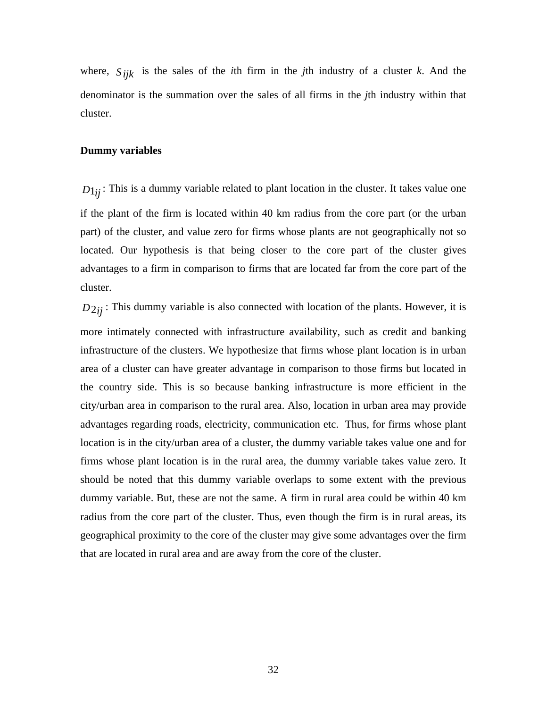where,  $S_{ijk}$  is the sales of the *i*th firm in the *j*th industry of a cluster *k*. And the denominator is the summation over the sales of all firms in the *j*th industry within that cluster.

#### **Dummy variables**

 $D_{1ij}$ : This is a dummy variable related to plant location in the cluster. It takes value one if the plant of the firm is located within 40 km radius from the core part (or the urban part) of the cluster, and value zero for firms whose plants are not geographically not so located. Our hypothesis is that being closer to the core part of the cluster gives advantages to a firm in comparison to firms that are located far from the core part of the cluster.

 $D_{2ii}$ : This dummy variable is also connected with location of the plants. However, it is more intimately connected with infrastructure availability, such as credit and banking infrastructure of the clusters. We hypothesize that firms whose plant location is in urban area of a cluster can have greater advantage in comparison to those firms but located in the country side. This is so because banking infrastructure is more efficient in the city/urban area in comparison to the rural area. Also, location in urban area may provide advantages regarding roads, electricity, communication etc. Thus, for firms whose plant location is in the city/urban area of a cluster, the dummy variable takes value one and for firms whose plant location is in the rural area, the dummy variable takes value zero. It should be noted that this dummy variable overlaps to some extent with the previous dummy variable. But, these are not the same. A firm in rural area could be within 40 km radius from the core part of the cluster. Thus, even though the firm is in rural areas, its geographical proximity to the core of the cluster may give some advantages over the firm that are located in rural area and are away from the core of the cluster.